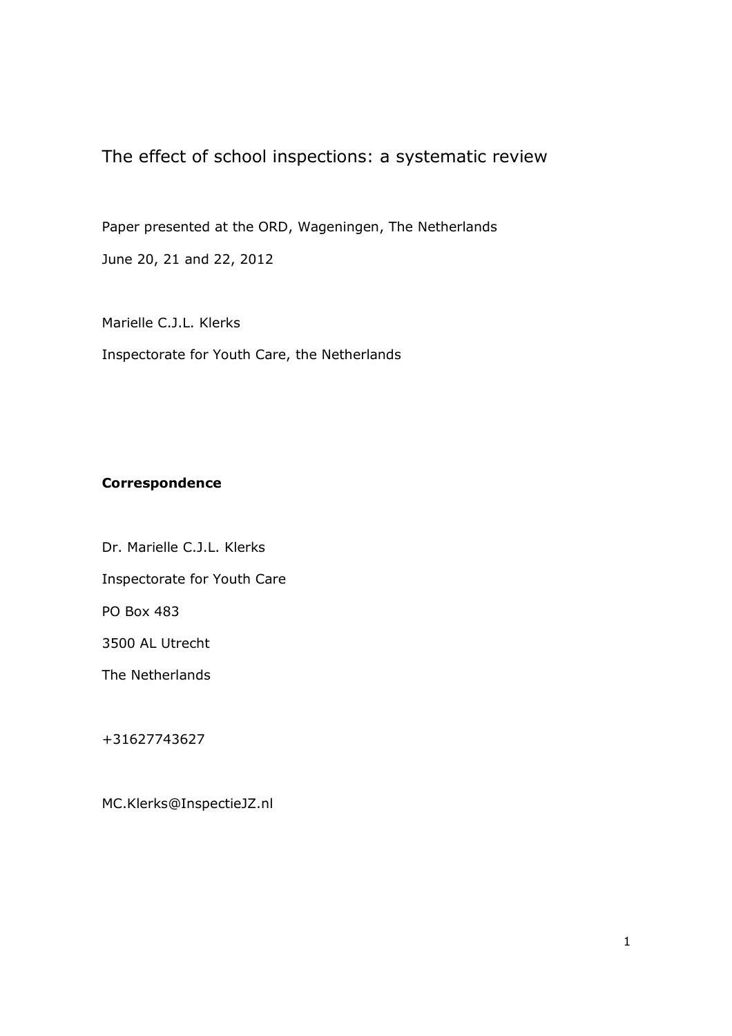The effect of school inspections: a systematic review

Paper presented at the ORD, Wageningen, The Netherlands June 20, 21 and 22, 2012

Marielle C.J.L. Klerks Inspectorate for Youth Care, the Netherlands

# Correspondence

Dr. Marielle C.J.L. Klerks Inspectorate for Youth Care PO Box 483 3500 AL Utrecht

The Netherlands

+31627743627

MC.Klerks@InspectieJZ.nl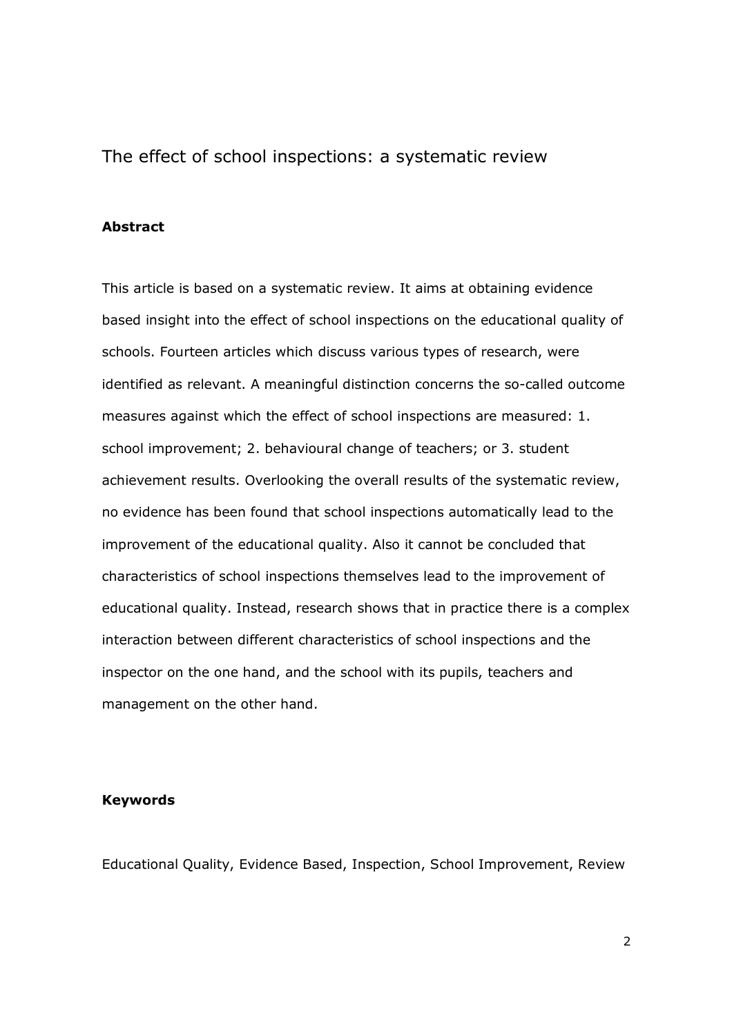The effect of school inspections: a systematic review

# Abstract

This article is based on a systematic review. It aims at obtaining evidence based insight into the effect of school inspections on the educational quality of schools. Fourteen articles which discuss various types of research, were identified as relevant. A meaningful distinction concerns the so-called outcome measures against which the effect of school inspections are measured: 1. school improvement; 2. behavioural change of teachers; or 3. student achievement results. Overlooking the overall results of the systematic review, no evidence has been found that school inspections automatically lead to the improvement of the educational quality. Also it cannot be concluded that characteristics of school inspections themselves lead to the improvement of educational quality. Instead, research shows that in practice there is a complex interaction between different characteristics of school inspections and the inspector on the one hand, and the school with its pupils, teachers and management on the other hand.

#### Keywords

Educational Quality, Evidence Based, Inspection, School Improvement, Review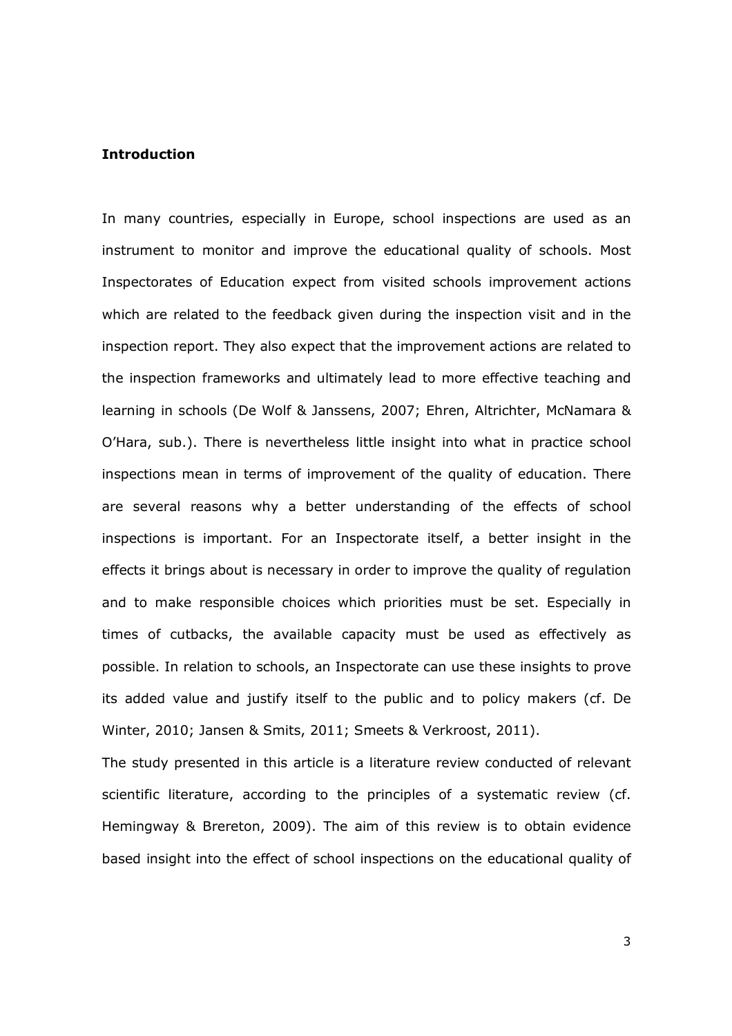## Introduction

In many countries, especially in Europe, school inspections are used as an instrument to monitor and improve the educational quality of schools. Most Inspectorates of Education expect from visited schools improvement actions which are related to the feedback given during the inspection visit and in the inspection report. They also expect that the improvement actions are related to the inspection frameworks and ultimately lead to more effective teaching and learning in schools (De Wolf & Janssens, 2007; Ehren, Altrichter, McNamara & O'Hara, sub.). There is nevertheless little insight into what in practice school inspections mean in terms of improvement of the quality of education. There are several reasons why a better understanding of the effects of school inspections is important. For an Inspectorate itself, a better insight in the effects it brings about is necessary in order to improve the quality of regulation and to make responsible choices which priorities must be set. Especially in times of cutbacks, the available capacity must be used as effectively as possible. In relation to schools, an Inspectorate can use these insights to prove its added value and justify itself to the public and to policy makers (cf. De Winter, 2010; Jansen & Smits, 2011; Smeets & Verkroost, 2011).

The study presented in this article is a literature review conducted of relevant scientific literature, according to the principles of a systematic review (cf. Hemingway & Brereton, 2009). The aim of this review is to obtain evidence based insight into the effect of school inspections on the educational quality of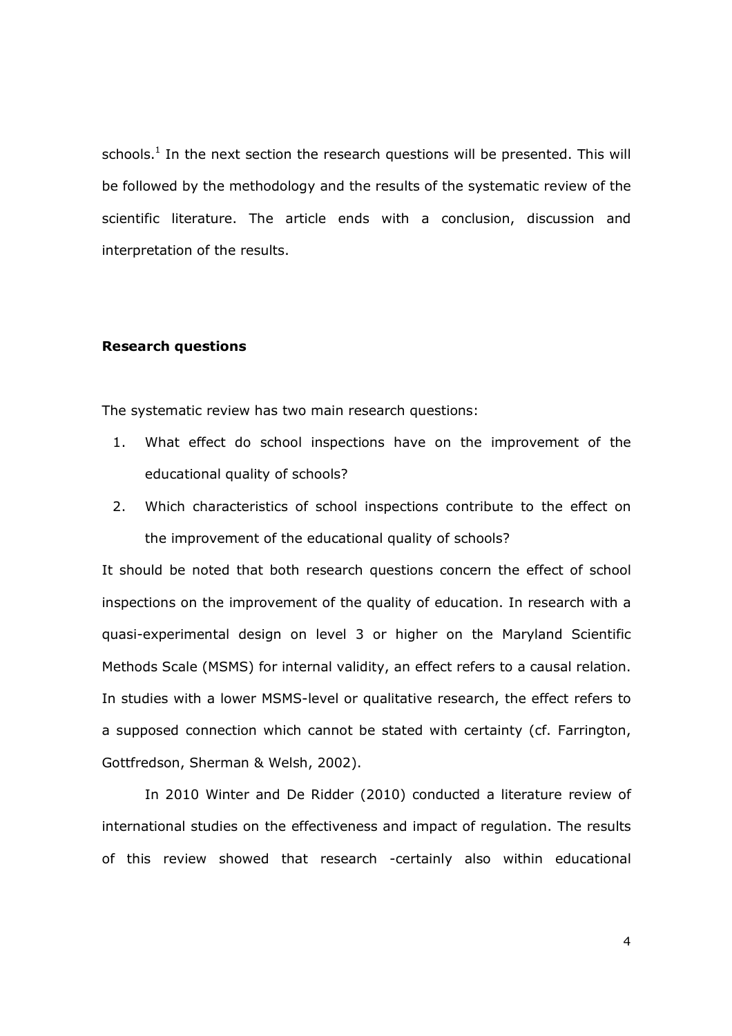schools. $<sup>1</sup>$  In the next section the research questions will be presented. This will</sup> be followed by the methodology and the results of the systematic review of the scientific literature. The article ends with a conclusion, discussion and interpretation of the results.

## Research questions

The systematic review has two main research questions:

- 1. What effect do school inspections have on the improvement of the educational quality of schools?
- 2. Which characteristics of school inspections contribute to the effect on the improvement of the educational quality of schools?

It should be noted that both research questions concern the effect of school inspections on the improvement of the quality of education. In research with a quasi-experimental design on level 3 or higher on the Maryland Scientific Methods Scale (MSMS) for internal validity, an effect refers to a causal relation. In studies with a lower MSMS-level or qualitative research, the effect refers to a supposed connection which cannot be stated with certainty (cf. Farrington, Gottfredson, Sherman & Welsh, 2002).

In 2010 Winter and De Ridder (2010) conducted a literature review of international studies on the effectiveness and impact of regulation. The results of this review showed that research -certainly also within educational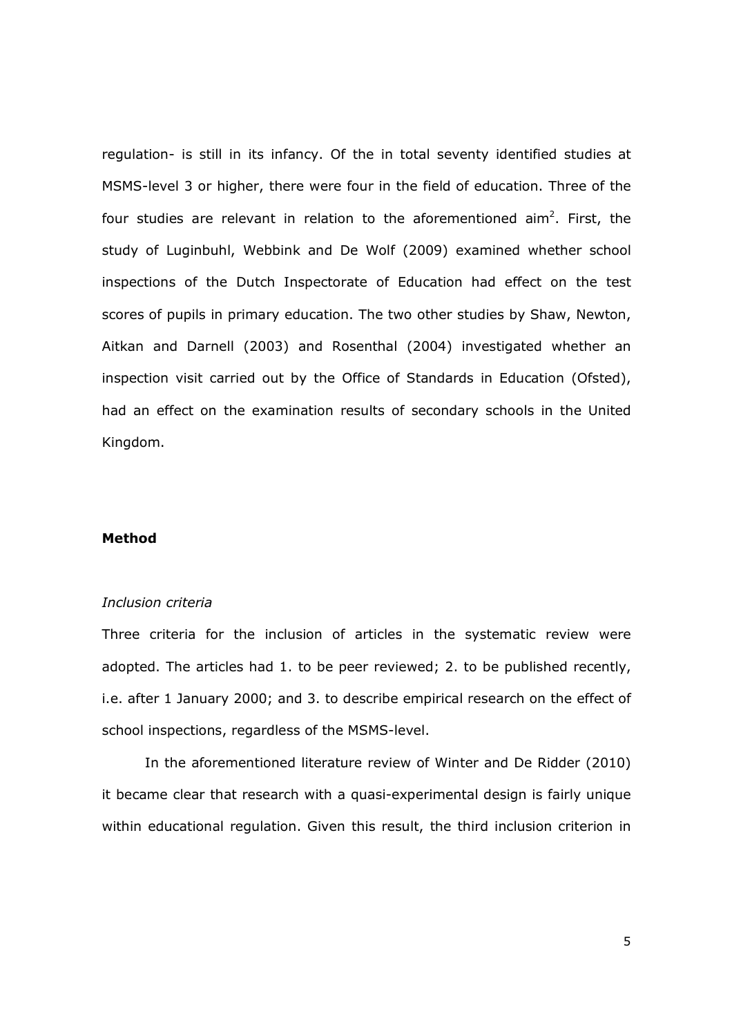regulation- is still in its infancy. Of the in total seventy identified studies at MSMS-level 3 or higher, there were four in the field of education. Three of the four studies are relevant in relation to the aforementioned aim<sup>2</sup>. First, the study of Luginbuhl, Webbink and De Wolf (2009) examined whether school inspections of the Dutch Inspectorate of Education had effect on the test scores of pupils in primary education. The two other studies by Shaw, Newton, Aitkan and Darnell (2003) and Rosenthal (2004) investigated whether an inspection visit carried out by the Office of Standards in Education (Ofsted), had an effect on the examination results of secondary schools in the United Kingdom.

#### Method

## Inclusion criteria

Three criteria for the inclusion of articles in the systematic review were adopted. The articles had 1. to be peer reviewed; 2. to be published recently, i.e. after 1 January 2000; and 3. to describe empirical research on the effect of school inspections, regardless of the MSMS-level.

In the aforementioned literature review of Winter and De Ridder (2010) it became clear that research with a quasi-experimental design is fairly unique within educational regulation. Given this result, the third inclusion criterion in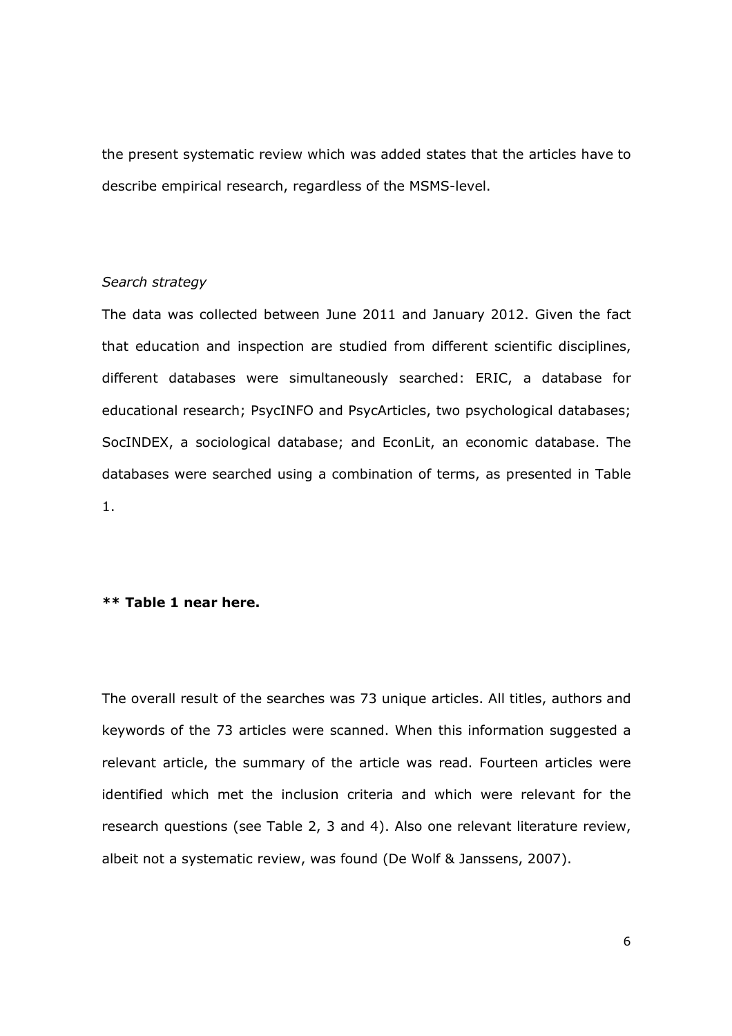the present systematic review which was added states that the articles have to describe empirical research, regardless of the MSMS-level.

### Search strategy

The data was collected between June 2011 and January 2012. Given the fact that education and inspection are studied from different scientific disciplines, different databases were simultaneously searched: ERIC, a database for educational research; PsycINFO and PsycArticles, two psychological databases; SocINDEX, a sociological database; and EconLit, an economic database. The databases were searched using a combination of terms, as presented in Table 1.

# \*\* Table 1 near here.

The overall result of the searches was 73 unique articles. All titles, authors and keywords of the 73 articles were scanned. When this information suggested a relevant article, the summary of the article was read. Fourteen articles were identified which met the inclusion criteria and which were relevant for the research questions (see Table 2, 3 and 4). Also one relevant literature review, albeit not a systematic review, was found (De Wolf & Janssens, 2007).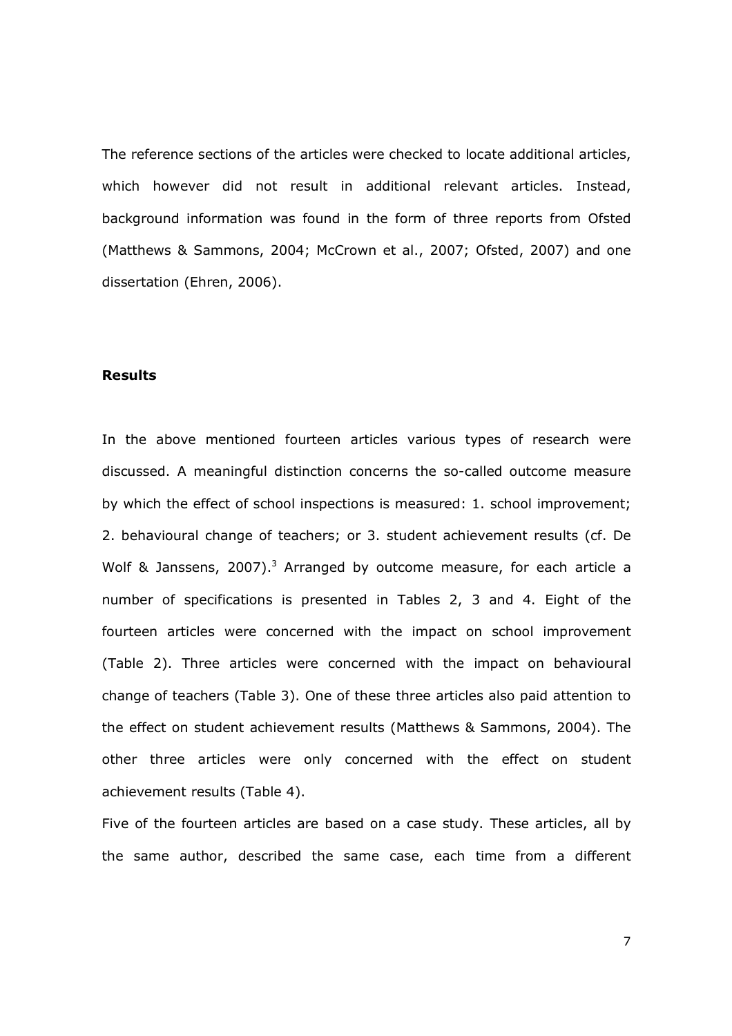The reference sections of the articles were checked to locate additional articles, which however did not result in additional relevant articles. Instead, background information was found in the form of three reports from Ofsted (Matthews & Sammons, 2004; McCrown et al., 2007; Ofsted, 2007) and one dissertation (Ehren, 2006).

#### Results

In the above mentioned fourteen articles various types of research were discussed. A meaningful distinction concerns the so-called outcome measure by which the effect of school inspections is measured: 1. school improvement; 2. behavioural change of teachers; or 3. student achievement results (cf. De Wolf & Janssens, 2007).<sup>3</sup> Arranged by outcome measure, for each article a number of specifications is presented in Tables 2, 3 and 4. Eight of the fourteen articles were concerned with the impact on school improvement (Table 2). Three articles were concerned with the impact on behavioural change of teachers (Table 3). One of these three articles also paid attention to the effect on student achievement results (Matthews & Sammons, 2004). The other three articles were only concerned with the effect on student achievement results (Table 4).

Five of the fourteen articles are based on a case study. These articles, all by the same author, described the same case, each time from a different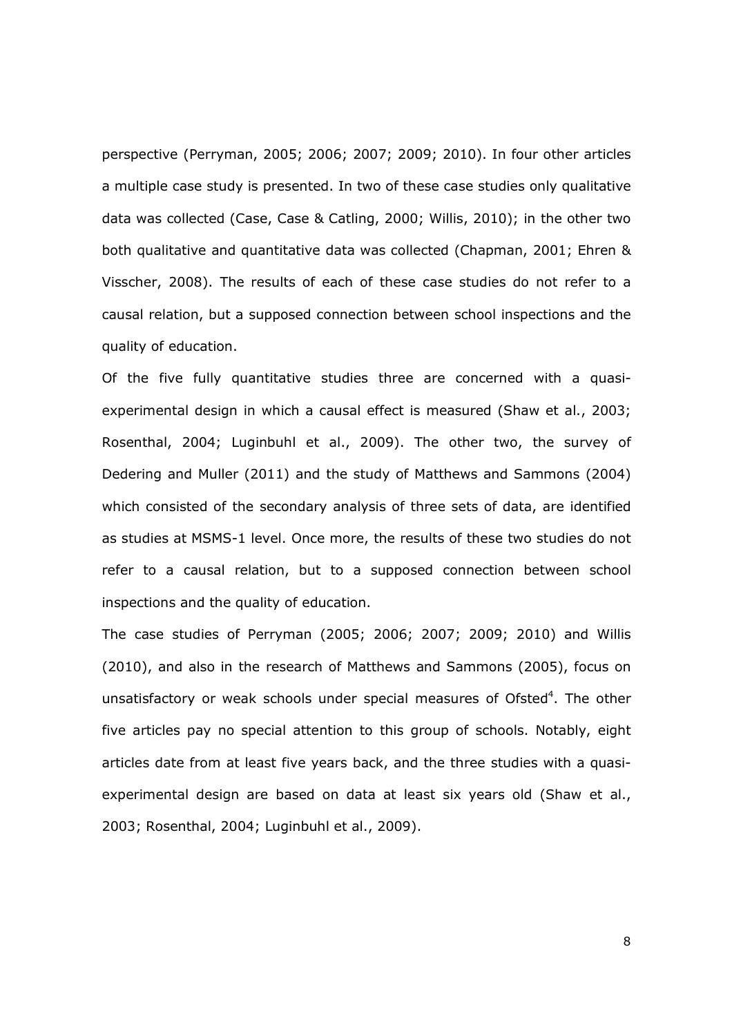perspective (Perryman, 2005; 2006; 2007; 2009; 2010). In four other articles a multiple case study is presented. In two of these case studies only qualitative data was collected (Case, Case & Catling, 2000; Willis, 2010); in the other two both qualitative and quantitative data was collected (Chapman, 2001; Ehren & Visscher, 2008). The results of each of these case studies do not refer to a causal relation, but a supposed connection between school inspections and the quality of education.

Of the five fully quantitative studies three are concerned with a quasiexperimental design in which a causal effect is measured (Shaw et al., 2003; Rosenthal, 2004; Luginbuhl et al., 2009). The other two, the survey of Dedering and Muller (2011) and the study of Matthews and Sammons (2004) which consisted of the secondary analysis of three sets of data, are identified as studies at MSMS-1 level. Once more, the results of these two studies do not refer to a causal relation, but to a supposed connection between school inspections and the quality of education.

The case studies of Perryman (2005; 2006; 2007; 2009; 2010) and Willis (2010), and also in the research of Matthews and Sammons (2005), focus on unsatisfactory or weak schools under special measures of Ofsted $4$ . The other five articles pay no special attention to this group of schools. Notably, eight articles date from at least five years back, and the three studies with a quasiexperimental design are based on data at least six years old (Shaw et al., 2003; Rosenthal, 2004; Luginbuhl et al., 2009).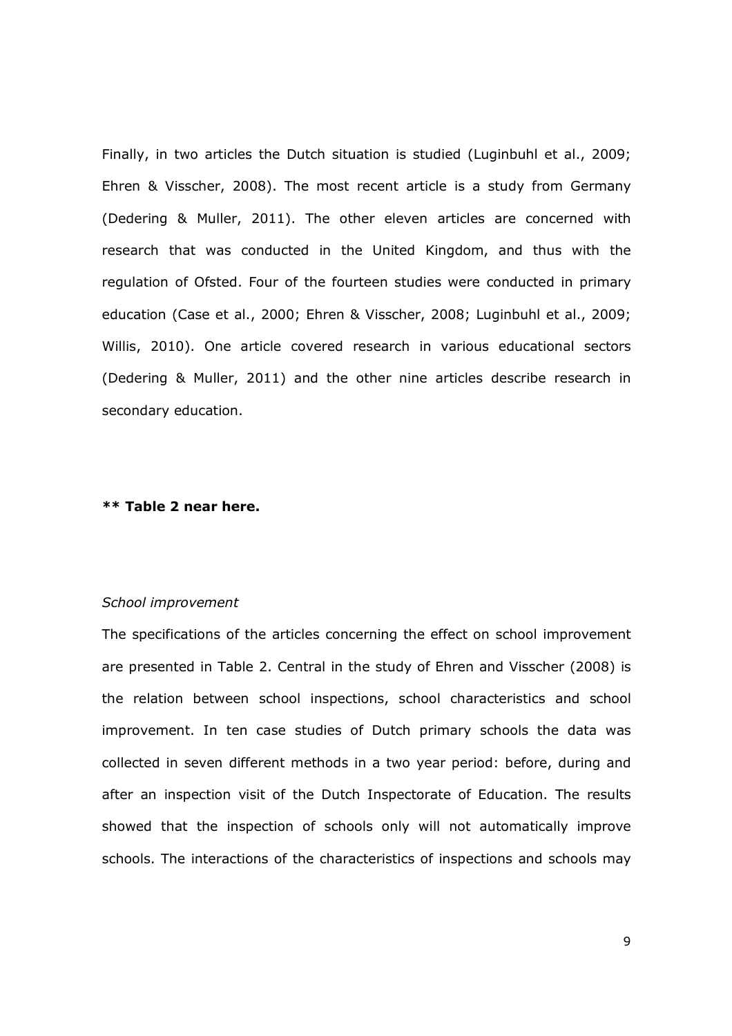Finally, in two articles the Dutch situation is studied (Luginbuhl et al., 2009; Ehren & Visscher, 2008). The most recent article is a study from Germany (Dedering & Muller, 2011). The other eleven articles are concerned with research that was conducted in the United Kingdom, and thus with the regulation of Ofsted. Four of the fourteen studies were conducted in primary education (Case et al., 2000; Ehren & Visscher, 2008; Luginbuhl et al., 2009; Willis, 2010). One article covered research in various educational sectors (Dedering & Muller, 2011) and the other nine articles describe research in secondary education.

#### \*\* Table 2 near here.

#### School improvement

The specifications of the articles concerning the effect on school improvement are presented in Table 2. Central in the study of Ehren and Visscher (2008) is the relation between school inspections, school characteristics and school improvement. In ten case studies of Dutch primary schools the data was collected in seven different methods in a two year period: before, during and after an inspection visit of the Dutch Inspectorate of Education. The results showed that the inspection of schools only will not automatically improve schools. The interactions of the characteristics of inspections and schools may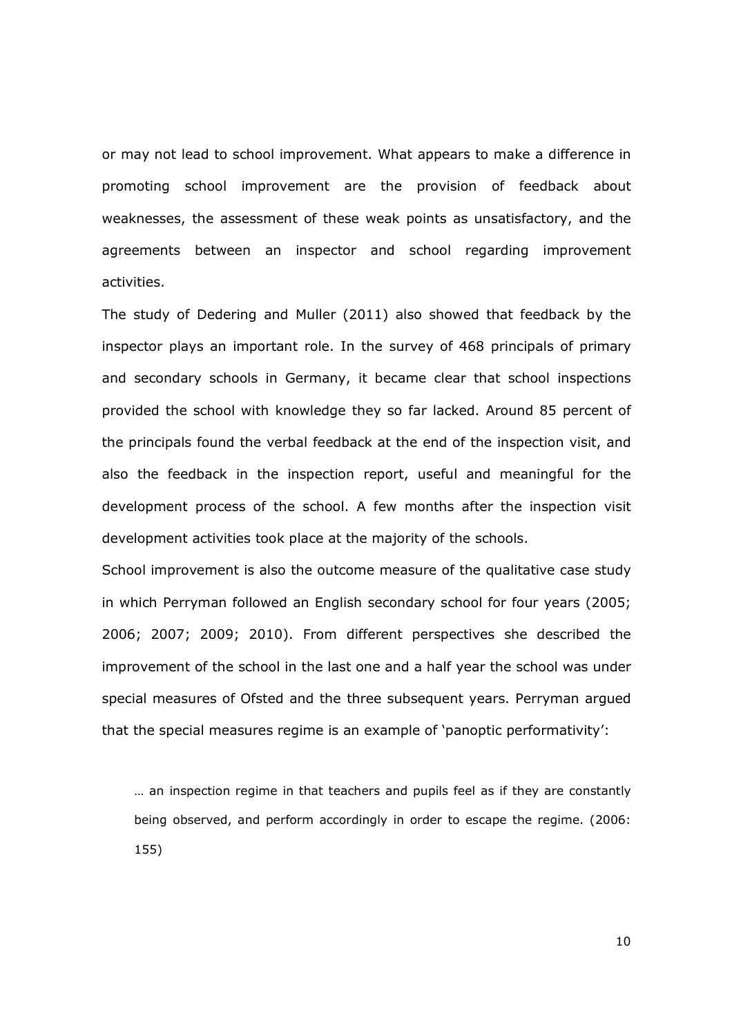or may not lead to school improvement. What appears to make a difference in promoting school improvement are the provision of feedback about weaknesses, the assessment of these weak points as unsatisfactory, and the agreements between an inspector and school regarding improvement activities.

The study of Dedering and Muller (2011) also showed that feedback by the inspector plays an important role. In the survey of 468 principals of primary and secondary schools in Germany, it became clear that school inspections provided the school with knowledge they so far lacked. Around 85 percent of the principals found the verbal feedback at the end of the inspection visit, and also the feedback in the inspection report, useful and meaningful for the development process of the school. A few months after the inspection visit development activities took place at the majority of the schools.

School improvement is also the outcome measure of the qualitative case study in which Perryman followed an English secondary school for four years (2005; 2006; 2007; 2009; 2010). From different perspectives she described the improvement of the school in the last one and a half year the school was under special measures of Ofsted and the three subsequent years. Perryman argued that the special measures regime is an example of 'panoptic performativity':

… an inspection regime in that teachers and pupils feel as if they are constantly being observed, and perform accordingly in order to escape the regime. (2006: 155)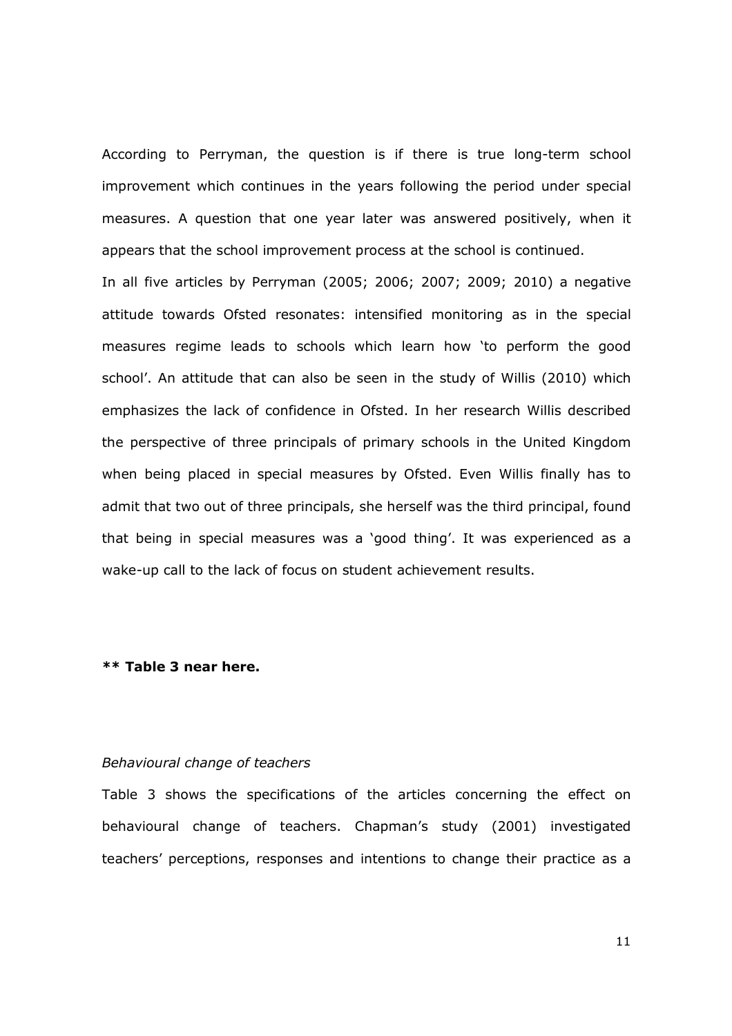According to Perryman, the question is if there is true long-term school improvement which continues in the years following the period under special measures. A question that one year later was answered positively, when it appears that the school improvement process at the school is continued.

In all five articles by Perryman (2005; 2006; 2007; 2009; 2010) a negative attitude towards Ofsted resonates: intensified monitoring as in the special measures regime leads to schools which learn how 'to perform the good school'. An attitude that can also be seen in the study of Willis (2010) which emphasizes the lack of confidence in Ofsted. In her research Willis described the perspective of three principals of primary schools in the United Kingdom when being placed in special measures by Ofsted. Even Willis finally has to admit that two out of three principals, she herself was the third principal, found that being in special measures was a 'good thing'. It was experienced as a wake-up call to the lack of focus on student achievement results.

#### \*\* Table 3 near here.

#### Behavioural change of teachers

Table 3 shows the specifications of the articles concerning the effect on behavioural change of teachers. Chapman's study (2001) investigated teachers' perceptions, responses and intentions to change their practice as a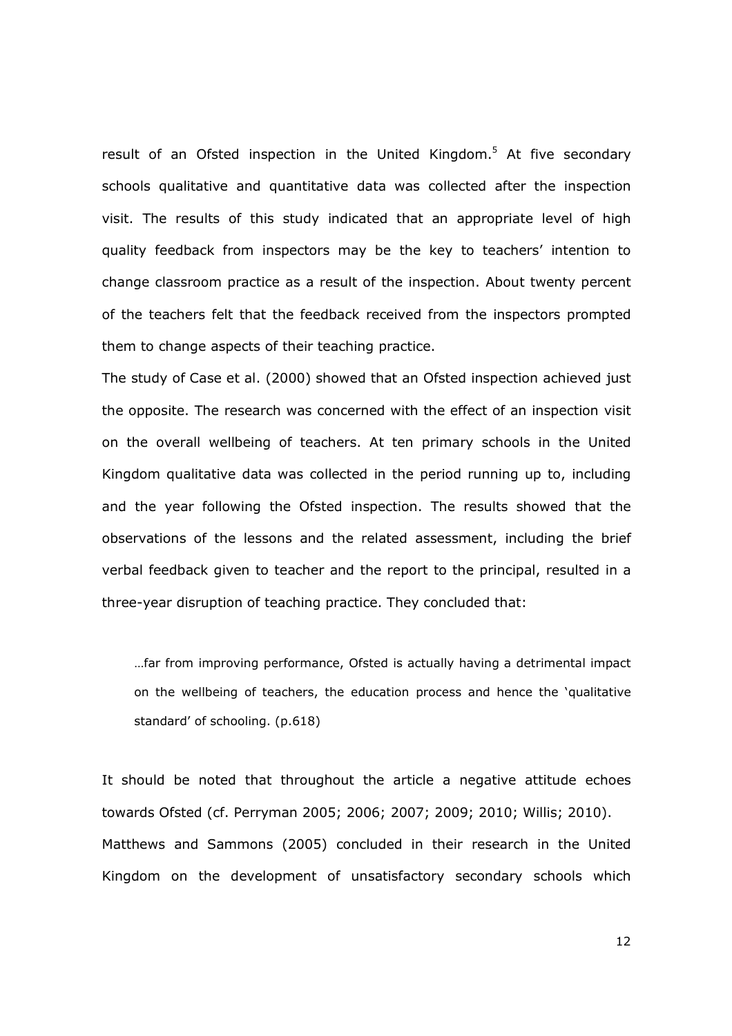result of an Ofsted inspection in the United Kingdom.<sup>5</sup> At five secondary schools qualitative and quantitative data was collected after the inspection visit. The results of this study indicated that an appropriate level of high quality feedback from inspectors may be the key to teachers' intention to change classroom practice as a result of the inspection. About twenty percent of the teachers felt that the feedback received from the inspectors prompted them to change aspects of their teaching practice.

The study of Case et al. (2000) showed that an Ofsted inspection achieved just the opposite. The research was concerned with the effect of an inspection visit on the overall wellbeing of teachers. At ten primary schools in the United Kingdom qualitative data was collected in the period running up to, including and the year following the Ofsted inspection. The results showed that the observations of the lessons and the related assessment, including the brief verbal feedback given to teacher and the report to the principal, resulted in a three-year disruption of teaching practice. They concluded that:

…far from improving performance, Ofsted is actually having a detrimental impact on the wellbeing of teachers, the education process and hence the 'qualitative standard' of schooling. (p.618)

It should be noted that throughout the article a negative attitude echoes towards Ofsted (cf. Perryman 2005; 2006; 2007; 2009; 2010; Willis; 2010). Matthews and Sammons (2005) concluded in their research in the United Kingdom on the development of unsatisfactory secondary schools which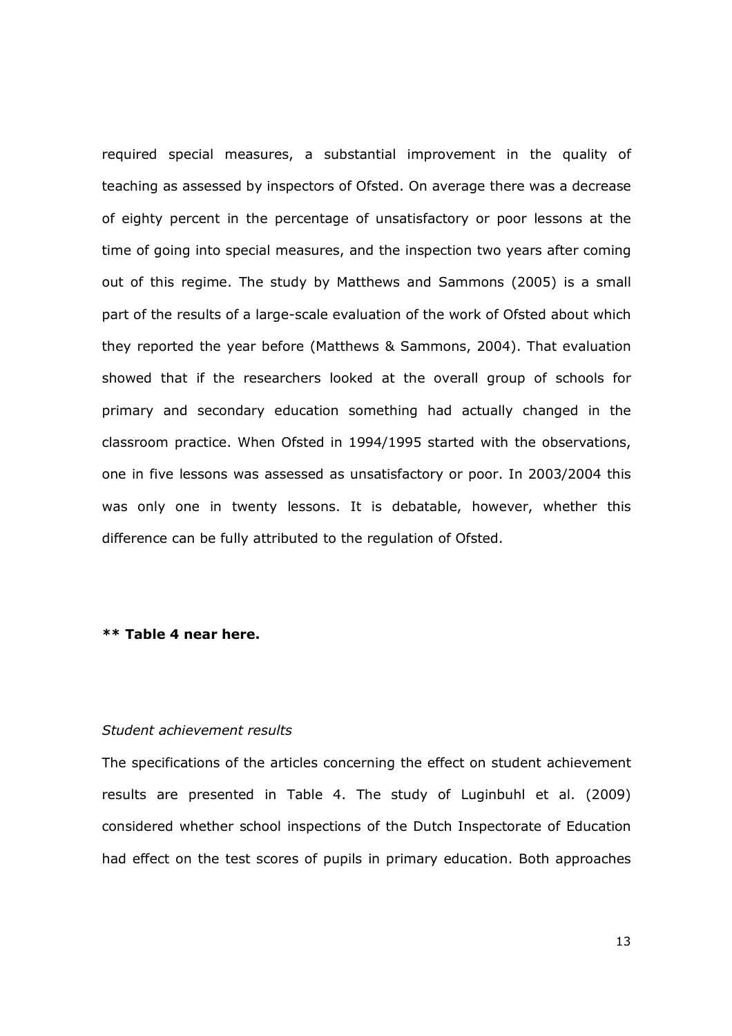required special measures, a substantial improvement in the quality of teaching as assessed by inspectors of Ofsted. On average there was a decrease of eighty percent in the percentage of unsatisfactory or poor lessons at the time of going into special measures, and the inspection two years after coming out of this regime. The study by Matthews and Sammons (2005) is a small part of the results of a large-scale evaluation of the work of Ofsted about which they reported the year before (Matthews & Sammons, 2004). That evaluation showed that if the researchers looked at the overall group of schools for primary and secondary education something had actually changed in the classroom practice. When Ofsted in 1994/1995 started with the observations, one in five lessons was assessed as unsatisfactory or poor. In 2003/2004 this was only one in twenty lessons. It is debatable, however, whether this difference can be fully attributed to the regulation of Ofsted.

#### \*\* Table 4 near here.

#### Student achievement results

The specifications of the articles concerning the effect on student achievement results are presented in Table 4. The study of Luginbuhl et al. (2009) considered whether school inspections of the Dutch Inspectorate of Education had effect on the test scores of pupils in primary education. Both approaches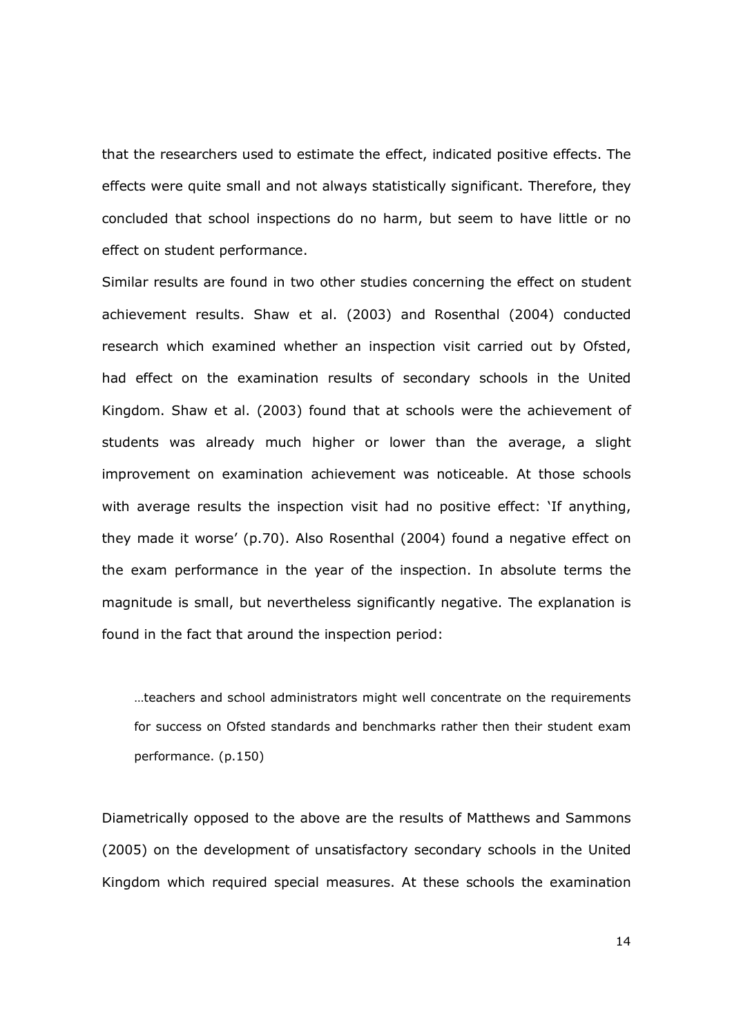that the researchers used to estimate the effect, indicated positive effects. The effects were quite small and not always statistically significant. Therefore, they concluded that school inspections do no harm, but seem to have little or no effect on student performance.

Similar results are found in two other studies concerning the effect on student achievement results. Shaw et al. (2003) and Rosenthal (2004) conducted research which examined whether an inspection visit carried out by Ofsted, had effect on the examination results of secondary schools in the United Kingdom. Shaw et al. (2003) found that at schools were the achievement of students was already much higher or lower than the average, a slight improvement on examination achievement was noticeable. At those schools with average results the inspection visit had no positive effect: 'If anything, they made it worse' (p.70). Also Rosenthal (2004) found a negative effect on the exam performance in the year of the inspection. In absolute terms the magnitude is small, but nevertheless significantly negative. The explanation is found in the fact that around the inspection period:

…teachers and school administrators might well concentrate on the requirements for success on Ofsted standards and benchmarks rather then their student exam performance. (p.150)

Diametrically opposed to the above are the results of Matthews and Sammons (2005) on the development of unsatisfactory secondary schools in the United Kingdom which required special measures. At these schools the examination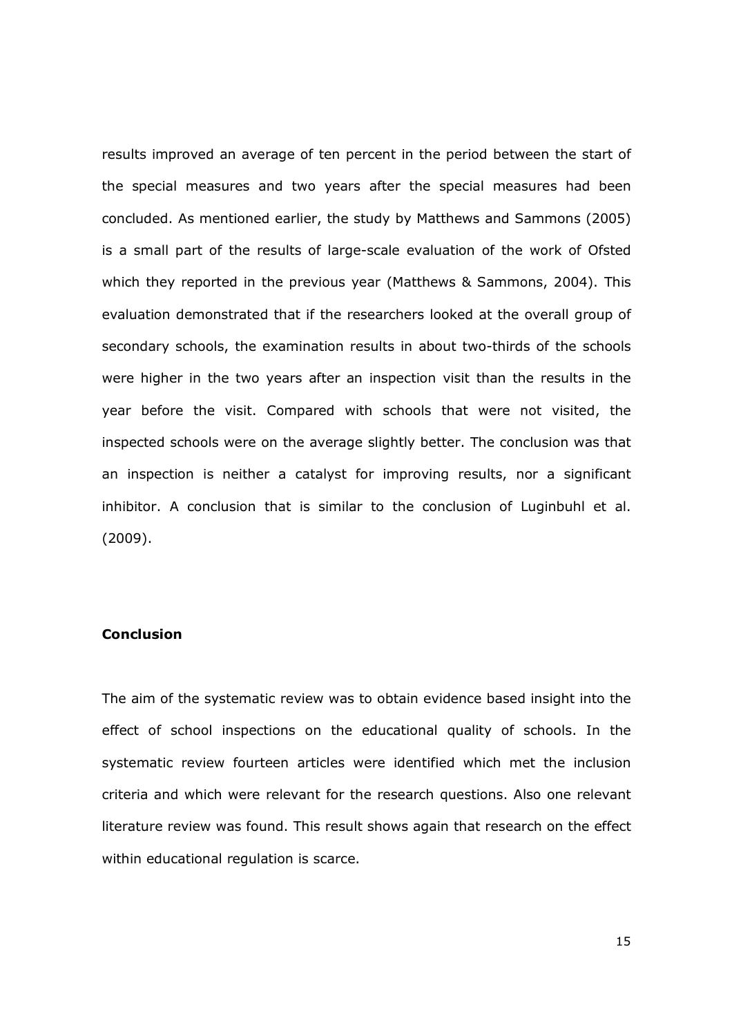results improved an average of ten percent in the period between the start of the special measures and two years after the special measures had been concluded. As mentioned earlier, the study by Matthews and Sammons (2005) is a small part of the results of large-scale evaluation of the work of Ofsted which they reported in the previous year (Matthews & Sammons, 2004). This evaluation demonstrated that if the researchers looked at the overall group of secondary schools, the examination results in about two-thirds of the schools were higher in the two years after an inspection visit than the results in the year before the visit. Compared with schools that were not visited, the inspected schools were on the average slightly better. The conclusion was that an inspection is neither a catalyst for improving results, nor a significant inhibitor. A conclusion that is similar to the conclusion of Luginbuhl et al. (2009).

#### **Conclusion**

The aim of the systematic review was to obtain evidence based insight into the effect of school inspections on the educational quality of schools. In the systematic review fourteen articles were identified which met the inclusion criteria and which were relevant for the research questions. Also one relevant literature review was found. This result shows again that research on the effect within educational regulation is scarce.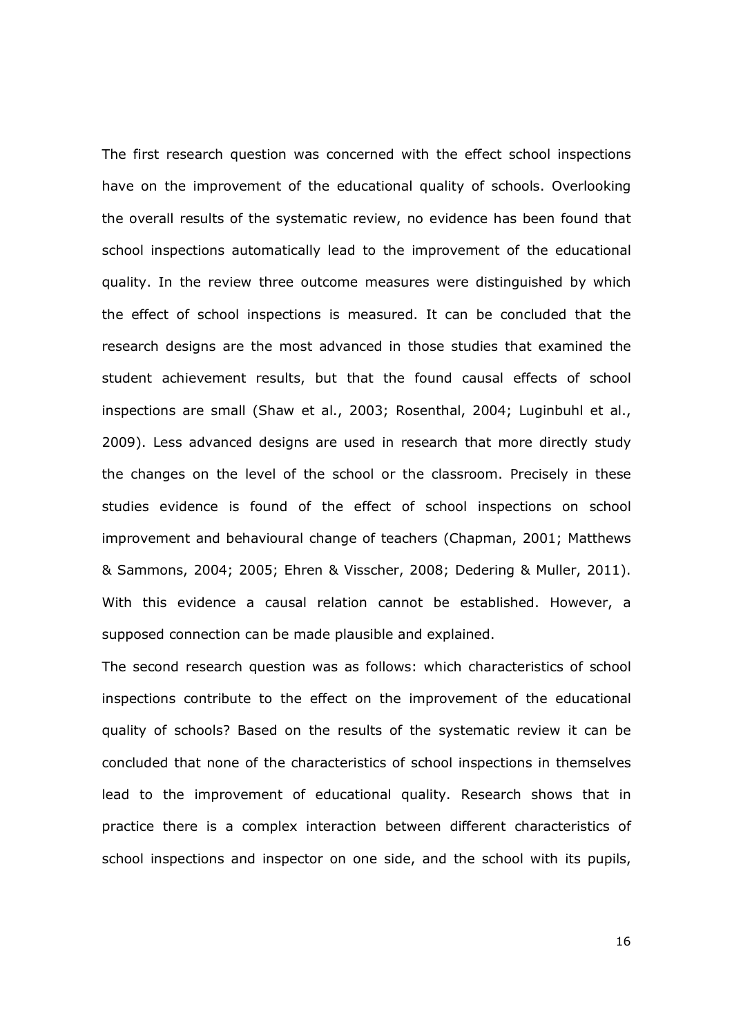The first research question was concerned with the effect school inspections have on the improvement of the educational quality of schools. Overlooking the overall results of the systematic review, no evidence has been found that school inspections automatically lead to the improvement of the educational quality. In the review three outcome measures were distinguished by which the effect of school inspections is measured. It can be concluded that the research designs are the most advanced in those studies that examined the student achievement results, but that the found causal effects of school inspections are small (Shaw et al., 2003; Rosenthal, 2004; Luginbuhl et al., 2009). Less advanced designs are used in research that more directly study the changes on the level of the school or the classroom. Precisely in these studies evidence is found of the effect of school inspections on school improvement and behavioural change of teachers (Chapman, 2001; Matthews & Sammons, 2004; 2005; Ehren & Visscher, 2008; Dedering & Muller, 2011). With this evidence a causal relation cannot be established. However, a supposed connection can be made plausible and explained.

The second research question was as follows: which characteristics of school inspections contribute to the effect on the improvement of the educational quality of schools? Based on the results of the systematic review it can be concluded that none of the characteristics of school inspections in themselves lead to the improvement of educational quality. Research shows that in practice there is a complex interaction between different characteristics of school inspections and inspector on one side, and the school with its pupils,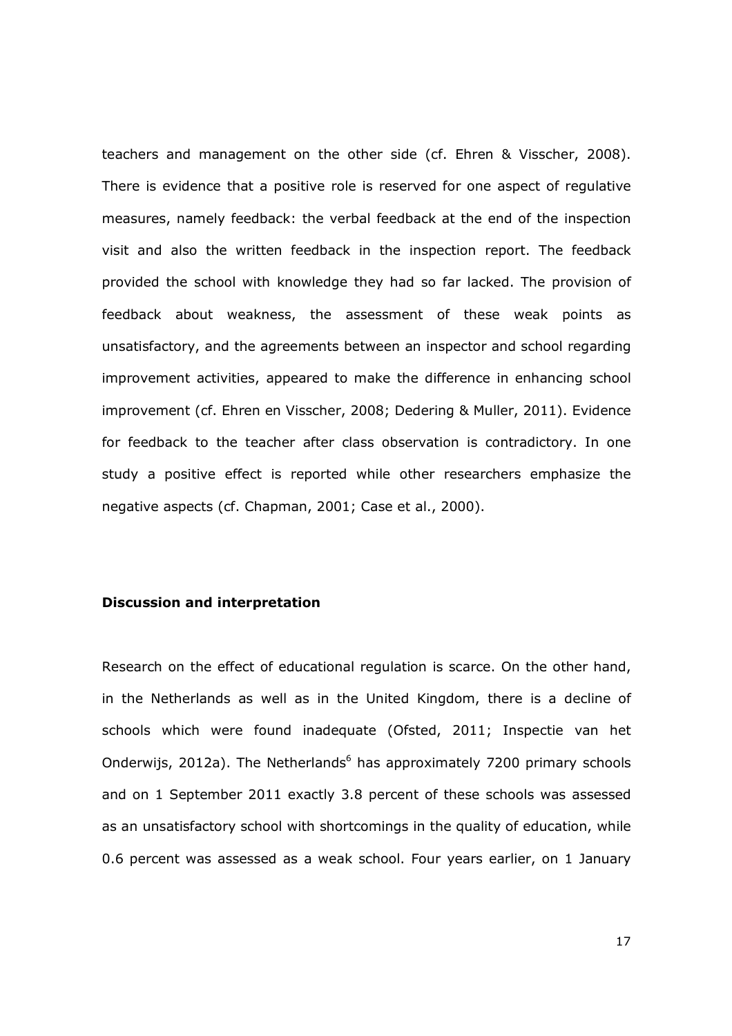teachers and management on the other side (cf. Ehren & Visscher, 2008). There is evidence that a positive role is reserved for one aspect of regulative measures, namely feedback: the verbal feedback at the end of the inspection visit and also the written feedback in the inspection report. The feedback provided the school with knowledge they had so far lacked. The provision of feedback about weakness, the assessment of these weak points as unsatisfactory, and the agreements between an inspector and school regarding improvement activities, appeared to make the difference in enhancing school improvement (cf. Ehren en Visscher, 2008; Dedering & Muller, 2011). Evidence for feedback to the teacher after class observation is contradictory. In one study a positive effect is reported while other researchers emphasize the negative aspects (cf. Chapman, 2001; Case et al., 2000).

# Discussion and interpretation

Research on the effect of educational regulation is scarce. On the other hand, in the Netherlands as well as in the United Kingdom, there is a decline of schools which were found inadequate (Ofsted, 2011; Inspectie van het Onderwijs, 2012a). The Netherlands<sup>6</sup> has approximately 7200 primary schools and on 1 September 2011 exactly 3.8 percent of these schools was assessed as an unsatisfactory school with shortcomings in the quality of education, while 0.6 percent was assessed as a weak school. Four years earlier, on 1 January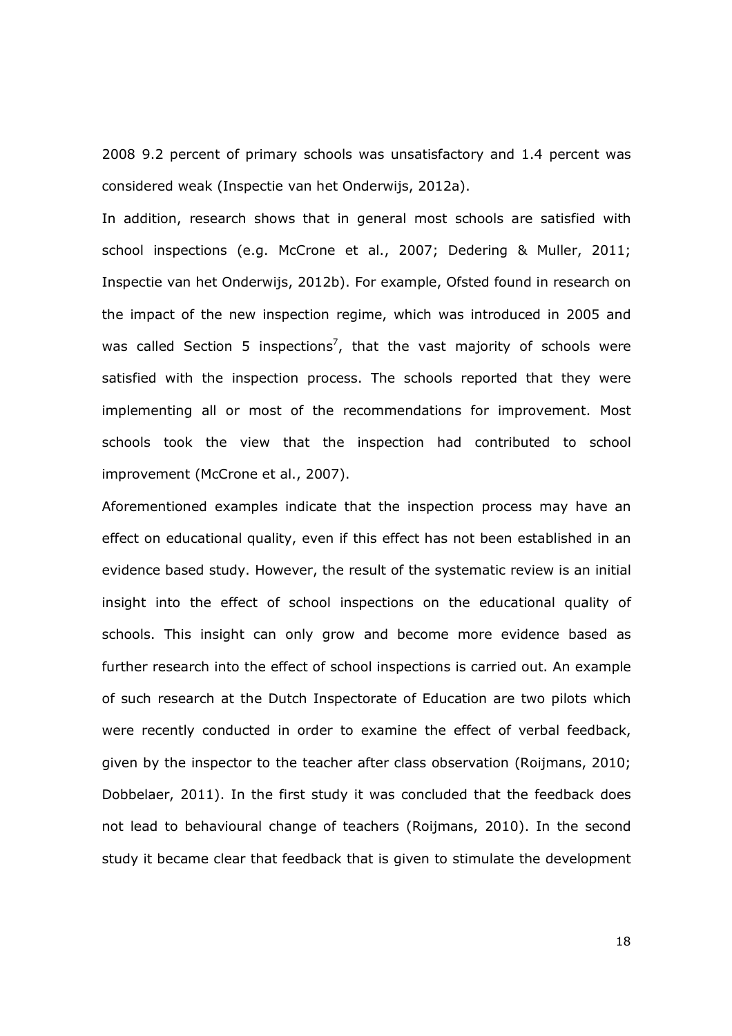2008 9.2 percent of primary schools was unsatisfactory and 1.4 percent was considered weak (Inspectie van het Onderwijs, 2012a).

In addition, research shows that in general most schools are satisfied with school inspections (e.g. McCrone et al., 2007; Dedering & Muller, 2011; Inspectie van het Onderwijs, 2012b). For example, Ofsted found in research on the impact of the new inspection regime, which was introduced in 2005 and was called Section 5 inspections<sup>7</sup>, that the vast majority of schools were satisfied with the inspection process. The schools reported that they were implementing all or most of the recommendations for improvement. Most schools took the view that the inspection had contributed to school improvement (McCrone et al., 2007).

Aforementioned examples indicate that the inspection process may have an effect on educational quality, even if this effect has not been established in an evidence based study. However, the result of the systematic review is an initial insight into the effect of school inspections on the educational quality of schools. This insight can only grow and become more evidence based as further research into the effect of school inspections is carried out. An example of such research at the Dutch Inspectorate of Education are two pilots which were recently conducted in order to examine the effect of verbal feedback, given by the inspector to the teacher after class observation (Roijmans, 2010; Dobbelaer, 2011). In the first study it was concluded that the feedback does not lead to behavioural change of teachers (Roijmans, 2010). In the second study it became clear that feedback that is given to stimulate the development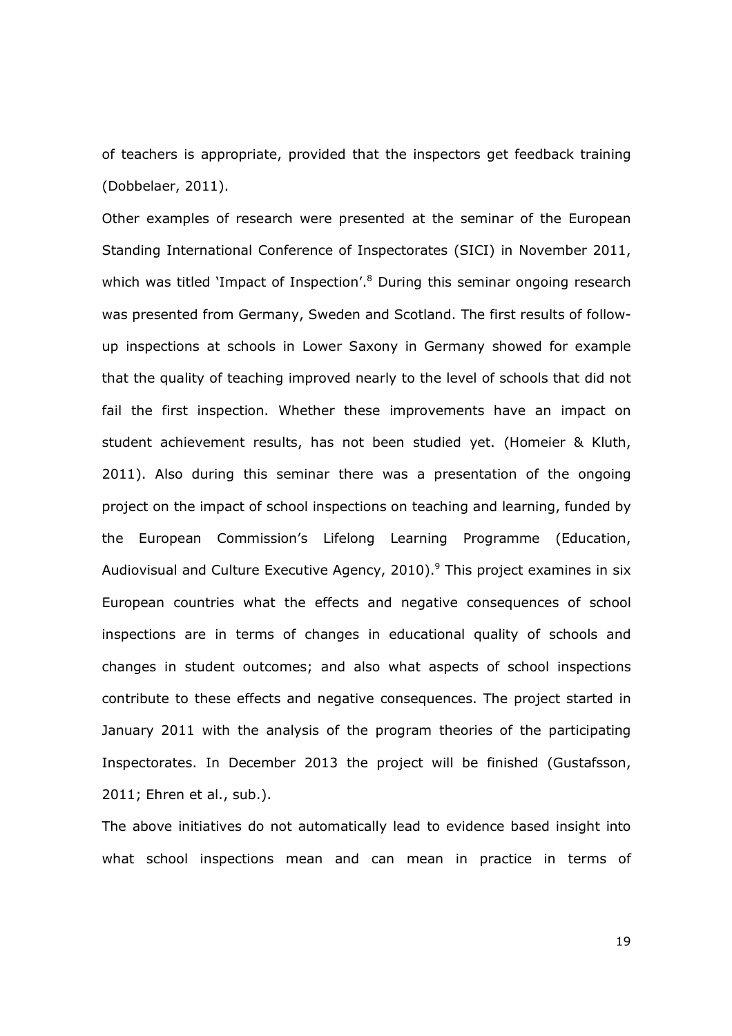of teachers is appropriate, provided that the inspectors get feedback training (Dobbelaer, 2011).

Other examples of research were presented at the seminar of the European Standing International Conference of Inspectorates (SICI) in November 2011, which was titled 'Impact of Inspection'.<sup>8</sup> During this seminar ongoing research was presented from Germany, Sweden and Scotland. The first results of followup inspections at schools in Lower Saxony in Germany showed for example that the quality of teaching improved nearly to the level of schools that did not fail the first inspection. Whether these improvements have an impact on student achievement results, has not been studied yet. (Homeier & Kluth, 2011). Also during this seminar there was a presentation of the ongoing project on the impact of school inspections on teaching and learning, funded by the European Commission's Lifelong Learning Programme (Education, Audiovisual and Culture Executive Agency, 2010).<sup>9</sup> This project examines in six European countries what the effects and negative consequences of school inspections are in terms of changes in educational quality of schools and changes in student outcomes; and also what aspects of school inspections contribute to these effects and negative consequences. The project started in January 2011 with the analysis of the program theories of the participating Inspectorates. In December 2013 the project will be finished (Gustafsson, 2011; Ehren et al., sub.).

The above initiatives do not automatically lead to evidence based insight into what school inspections mean and can mean in practice in terms of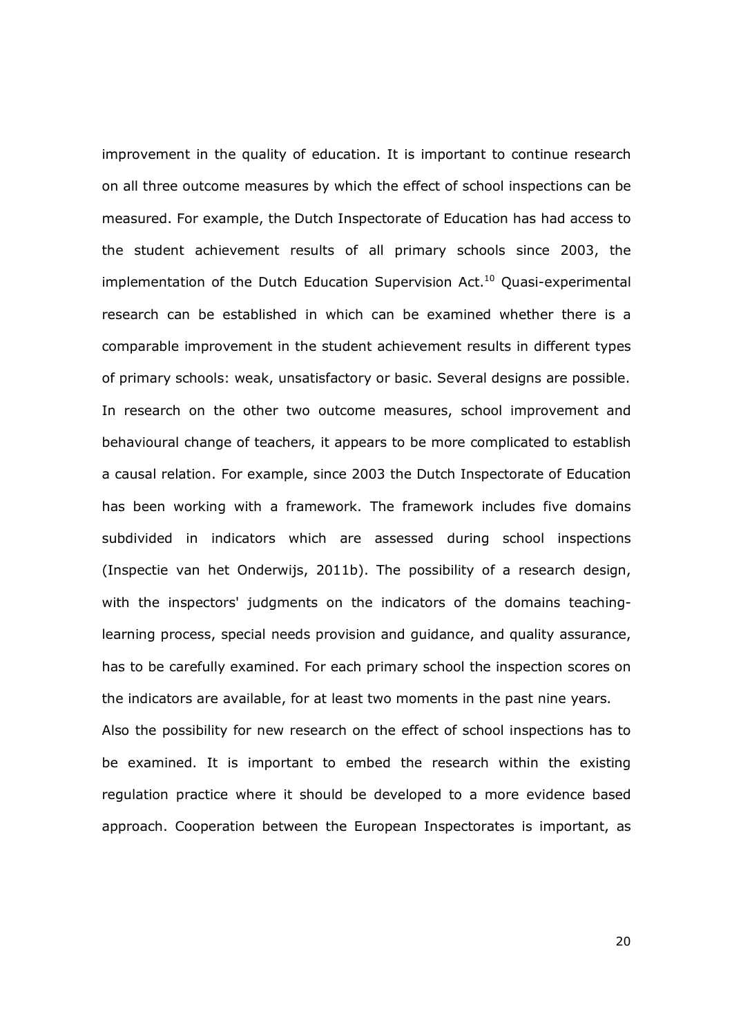improvement in the quality of education. It is important to continue research on all three outcome measures by which the effect of school inspections can be measured. For example, the Dutch Inspectorate of Education has had access to the student achievement results of all primary schools since 2003, the implementation of the Dutch Education Supervision Act. $10$  Quasi-experimental research can be established in which can be examined whether there is a comparable improvement in the student achievement results in different types of primary schools: weak, unsatisfactory or basic. Several designs are possible. In research on the other two outcome measures, school improvement and behavioural change of teachers, it appears to be more complicated to establish a causal relation. For example, since 2003 the Dutch Inspectorate of Education has been working with a framework. The framework includes five domains subdivided in indicators which are assessed during school inspections (Inspectie van het Onderwijs, 2011b). The possibility of a research design, with the inspectors' judgments on the indicators of the domains teachinglearning process, special needs provision and guidance, and quality assurance, has to be carefully examined. For each primary school the inspection scores on the indicators are available, for at least two moments in the past nine years. Also the possibility for new research on the effect of school inspections has to be examined. It is important to embed the research within the existing regulation practice where it should be developed to a more evidence based approach. Cooperation between the European Inspectorates is important, as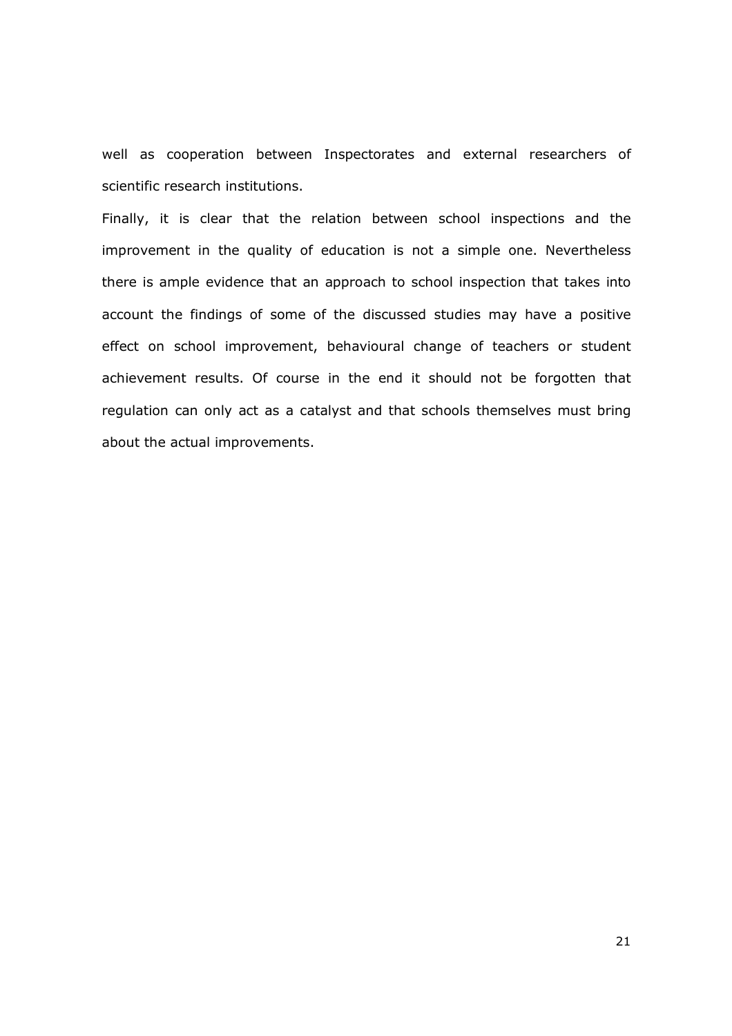well as cooperation between Inspectorates and external researchers of scientific research institutions.

Finally, it is clear that the relation between school inspections and the improvement in the quality of education is not a simple one. Nevertheless there is ample evidence that an approach to school inspection that takes into account the findings of some of the discussed studies may have a positive effect on school improvement, behavioural change of teachers or student achievement results. Of course in the end it should not be forgotten that regulation can only act as a catalyst and that schools themselves must bring about the actual improvements.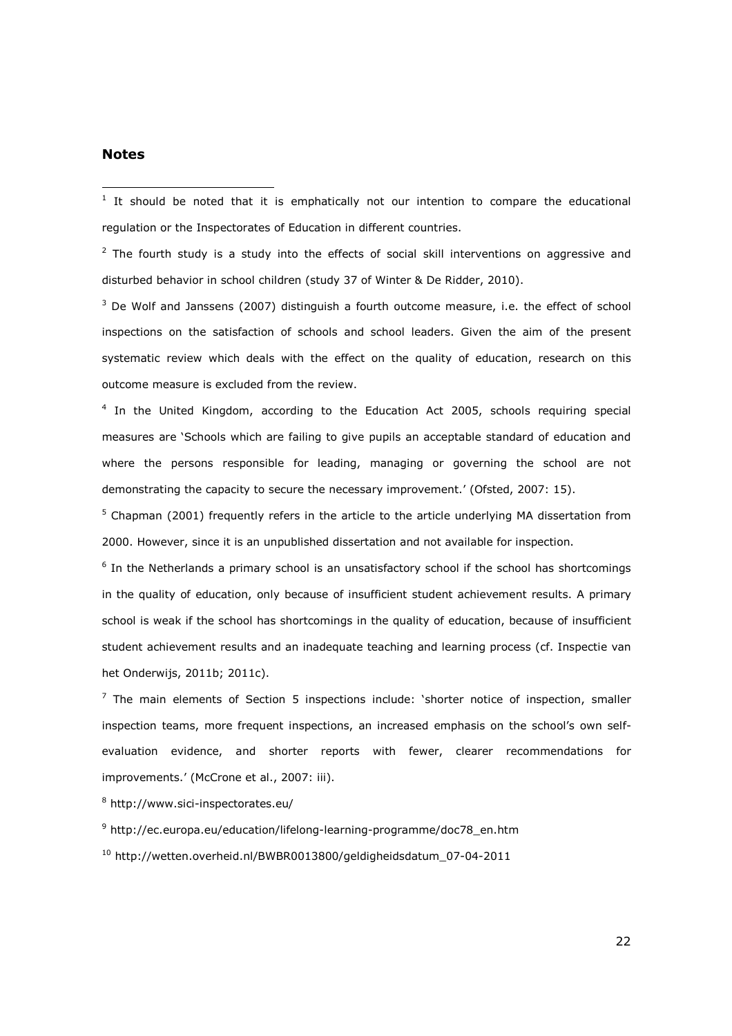#### Notes

 $\overline{a}$ 

 $<sup>1</sup>$  It should be noted that it is emphatically not our intention to compare the educational</sup> regulation or the Inspectorates of Education in different countries.

 $2$  The fourth study is a study into the effects of social skill interventions on aggressive and disturbed behavior in school children (study 37 of Winter & De Ridder, 2010).

 $3$  De Wolf and Janssens (2007) distinguish a fourth outcome measure, i.e. the effect of school inspections on the satisfaction of schools and school leaders. Given the aim of the present systematic review which deals with the effect on the quality of education, research on this outcome measure is excluded from the review.

<sup>4</sup> In the United Kingdom, according to the Education Act 2005, schools requiring special measures are 'Schools which are failing to give pupils an acceptable standard of education and where the persons responsible for leading, managing or governing the school are not demonstrating the capacity to secure the necessary improvement.' (Ofsted, 2007: 15).

<sup>5</sup> Chapman (2001) frequently refers in the article to the article underlying MA dissertation from 2000. However, since it is an unpublished dissertation and not available for inspection.

<sup>6</sup> In the Netherlands a primary school is an unsatisfactory school if the school has shortcomings in the quality of education, only because of insufficient student achievement results. A primary school is weak if the school has shortcomings in the quality of education, because of insufficient student achievement results and an inadequate teaching and learning process (cf. Inspectie van het Onderwijs, 2011b; 2011c).

 $<sup>7</sup>$  The main elements of Section 5 inspections include: 'shorter notice of inspection, smaller</sup> inspection teams, more frequent inspections, an increased emphasis on the school's own selfevaluation evidence, and shorter reports with fewer, clearer recommendations for improvements.' (McCrone et al., 2007; iii).

8 http://www.sici-inspectorates.eu/

9 http://ec.europa.eu/education/lifelong-learning-programme/doc78\_en.htm

<sup>10</sup> http://wetten.overheid.nl/BWBR0013800/geldigheidsdatum\_07-04-2011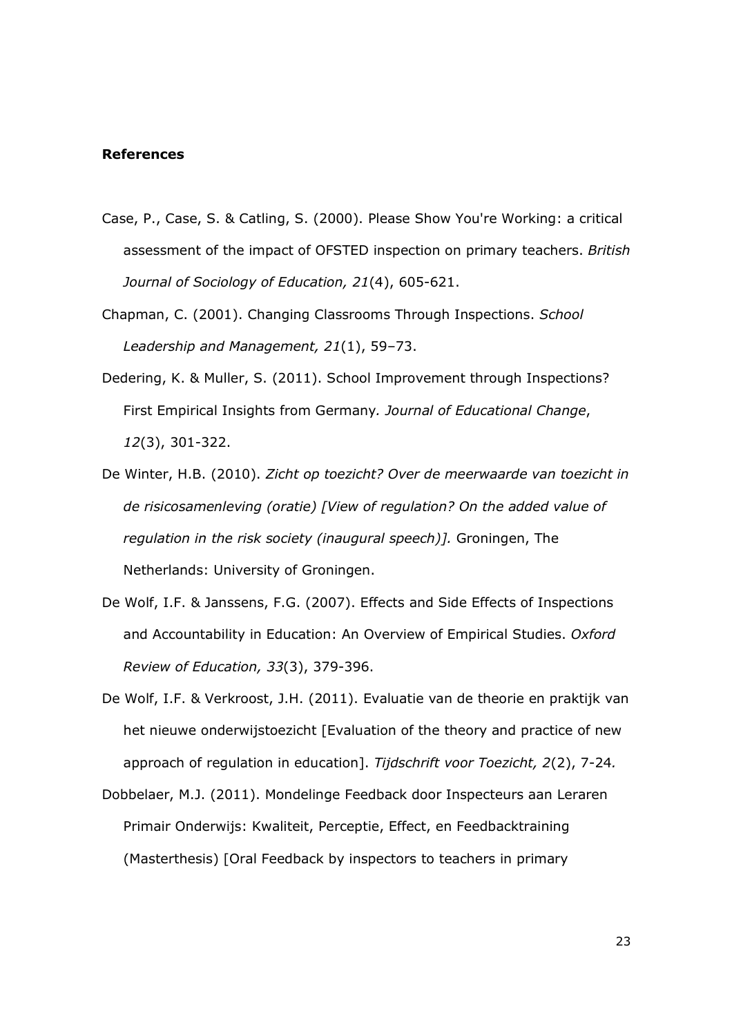#### References

- Case, P., Case, S. & Catling, S. (2000). Please Show You're Working: a critical assessment of the impact of OFSTED inspection on primary teachers. British Journal of Sociology of Education, 21(4), 605-621.
- Chapman, C. (2001). Changing Classrooms Through Inspections. School Leadership and Management, 21(1), 59–73.
- Dedering, K. & Muller, S. (2011). School Improvement through Inspections? First Empirical Insights from Germany. Journal of Educational Change, 12(3), 301-322.
- De Winter, H.B. (2010). Zicht op toezicht? Over de meerwaarde van toezicht in de risicosamenleving (oratie) [View of regulation? On the added value of regulation in the risk society (inaugural speech)]. Groningen, The Netherlands: University of Groningen.
- De Wolf, I.F. & Janssens, F.G. (2007). Effects and Side Effects of Inspections and Accountability in Education: An Overview of Empirical Studies. Oxford Review of Education, 33(3), 379-396.
- De Wolf, I.F. & Verkroost, J.H. (2011). Evaluatie van de theorie en praktijk van het nieuwe onderwijstoezicht [Evaluation of the theory and practice of new approach of regulation in education]. Tijdschrift voor Toezicht, 2(2), 7-24.
- Dobbelaer, M.J. (2011). Mondelinge Feedback door Inspecteurs aan Leraren Primair Onderwijs: Kwaliteit, Perceptie, Effect, en Feedbacktraining (Masterthesis) [Oral Feedback by inspectors to teachers in primary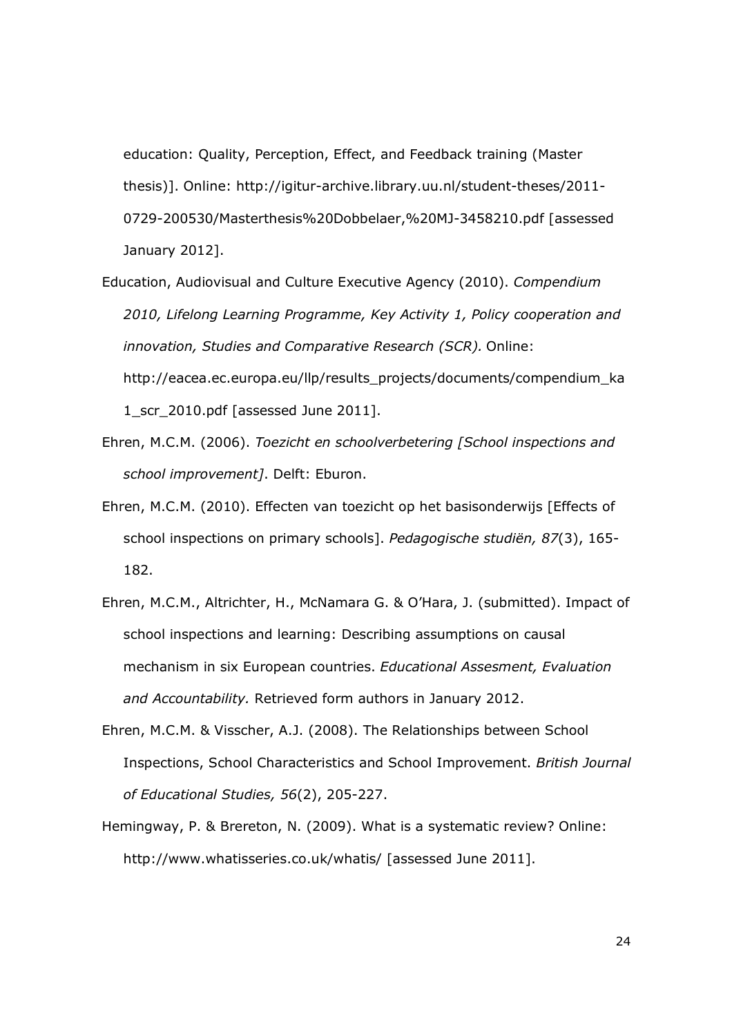education: Quality, Perception, Effect, and Feedback training (Master thesis)]. Online: http://igitur-archive.library.uu.nl/student-theses/2011- 0729-200530/Masterthesis%20Dobbelaer,%20MJ-3458210.pdf [assessed January 2012].

- Education, Audiovisual and Culture Executive Agency (2010). Compendium 2010, Lifelong Learning Programme, Key Activity 1, Policy cooperation and innovation, Studies and Comparative Research (SCR). Online: http://eacea.ec.europa.eu/llp/results\_projects/documents/compendium\_ka 1\_scr\_2010.pdf [assessed June 2011].
- Ehren, M.C.M. (2006). Toezicht en schoolverbetering [School inspections and school improvement]. Delft: Eburon.
- Ehren, M.C.M. (2010). Effecten van toezicht op het basisonderwijs [Effects of school inspections on primary schools]. Pedagogische studiën, 87(3), 165- 182.
- Ehren, M.C.M., Altrichter, H., McNamara G. & O'Hara, J. (submitted). Impact of school inspections and learning: Describing assumptions on causal mechanism in six European countries. Educational Assesment, Evaluation and Accountability. Retrieved form authors in January 2012.
- Ehren, M.C.M. & Visscher, A.J. (2008). The Relationships between School Inspections, School Characteristics and School Improvement. British Journal of Educational Studies, 56(2), 205-227.
- Hemingway, P. & Brereton, N. (2009). What is a systematic review? Online: http://www.whatisseries.co.uk/whatis/ [assessed June 2011].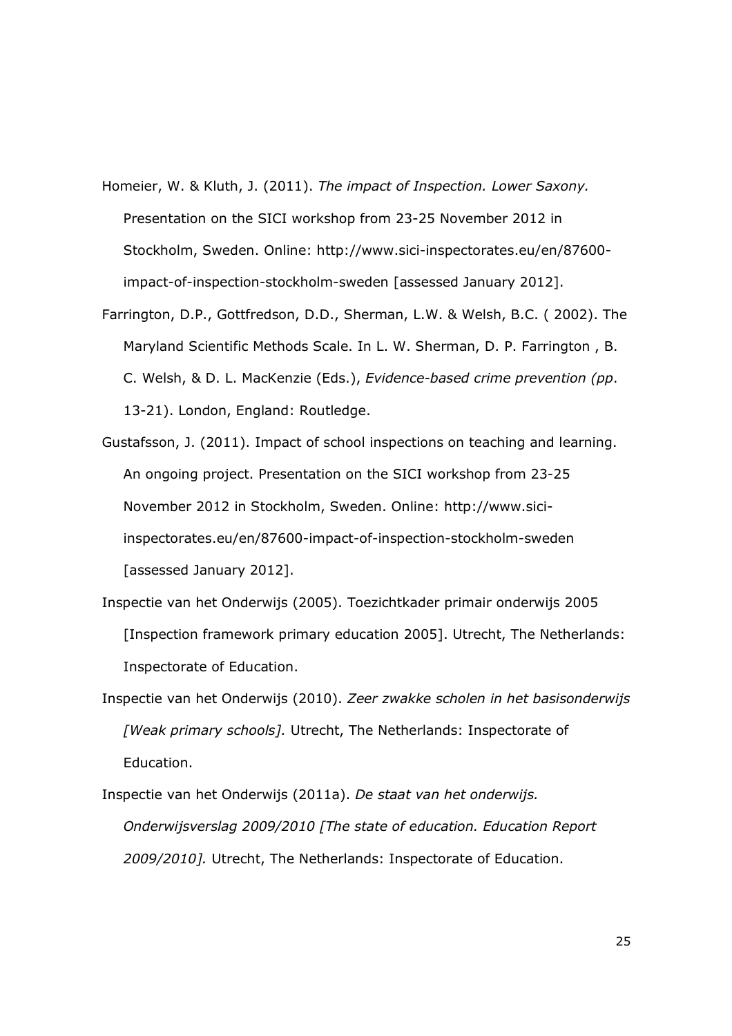- Homeier, W. & Kluth, J. (2011). The impact of Inspection. Lower Saxony. Presentation on the SICI workshop from 23-25 November 2012 in Stockholm, Sweden. Online: http://www.sici-inspectorates.eu/en/87600 impact-of-inspection-stockholm-sweden [assessed January 2012].
- Farrington, D.P., Gottfredson, D.D., Sherman, L.W. & Welsh, B.C. ( 2002). The Maryland Scientific Methods Scale. In L. W. Sherman, D. P. Farrington , B. C. Welsh, & D. L. MacKenzie (Eds.), Evidence-based crime prevention (pp. 13-21). London, England: Routledge.
- Gustafsson, J. (2011). Impact of school inspections on teaching and learning. An ongoing project. Presentation on the SICI workshop from 23-25 November 2012 in Stockholm, Sweden. Online: http://www.siciinspectorates.eu/en/87600-impact-of-inspection-stockholm-sweden [assessed January 2012].
- Inspectie van het Onderwijs (2005). Toezichtkader primair onderwijs 2005 [Inspection framework primary education 2005]. Utrecht, The Netherlands: Inspectorate of Education.
- Inspectie van het Onderwijs (2010). Zeer zwakke scholen in het basisonderwijs [Weak primary schools]. Utrecht, The Netherlands: Inspectorate of Education.
- Inspectie van het Onderwijs (2011a). De staat van het onderwijs. Onderwijsverslag 2009/2010 [The state of education. Education Report 2009/2010]. Utrecht, The Netherlands: Inspectorate of Education.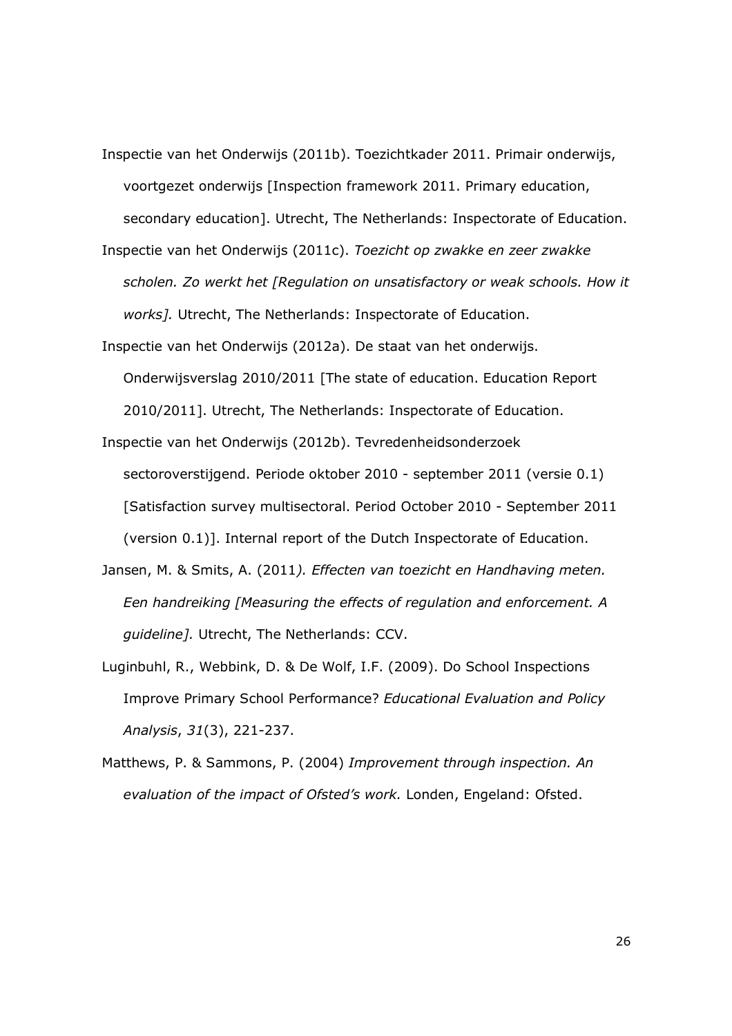- Inspectie van het Onderwijs (2011b). Toezichtkader 2011. Primair onderwijs, voortgezet onderwijs [Inspection framework 2011. Primary education, secondary education]. Utrecht, The Netherlands: Inspectorate of Education.
- Inspectie van het Onderwijs (2011c). Toezicht op zwakke en zeer zwakke scholen. Zo werkt het [Regulation on unsatisfactory or weak schools. How it works]. Utrecht, The Netherlands: Inspectorate of Education.
- Inspectie van het Onderwijs (2012a). De staat van het onderwijs. Onderwijsverslag 2010/2011 [The state of education. Education Report 2010/2011]. Utrecht, The Netherlands: Inspectorate of Education.
- Inspectie van het Onderwijs (2012b). Tevredenheidsonderzoek sectoroverstijgend. Periode oktober 2010 - september 2011 (versie 0.1) [Satisfaction survey multisectoral. Period October 2010 - September 2011 (version 0.1)]. Internal report of the Dutch Inspectorate of Education.
- Jansen, M. & Smits, A. (2011). Effecten van toezicht en Handhaving meten. Een handreiking [Measuring the effects of regulation and enforcement. A guideline]. Utrecht, The Netherlands: CCV.
- Luginbuhl, R., Webbink, D. & De Wolf, I.F. (2009). Do School Inspections Improve Primary School Performance? Educational Evaluation and Policy Analysis, 31(3), 221-237.
- Matthews, P. & Sammons, P. (2004) Improvement through inspection. An evaluation of the impact of Ofsted's work. Londen, Engeland: Ofsted.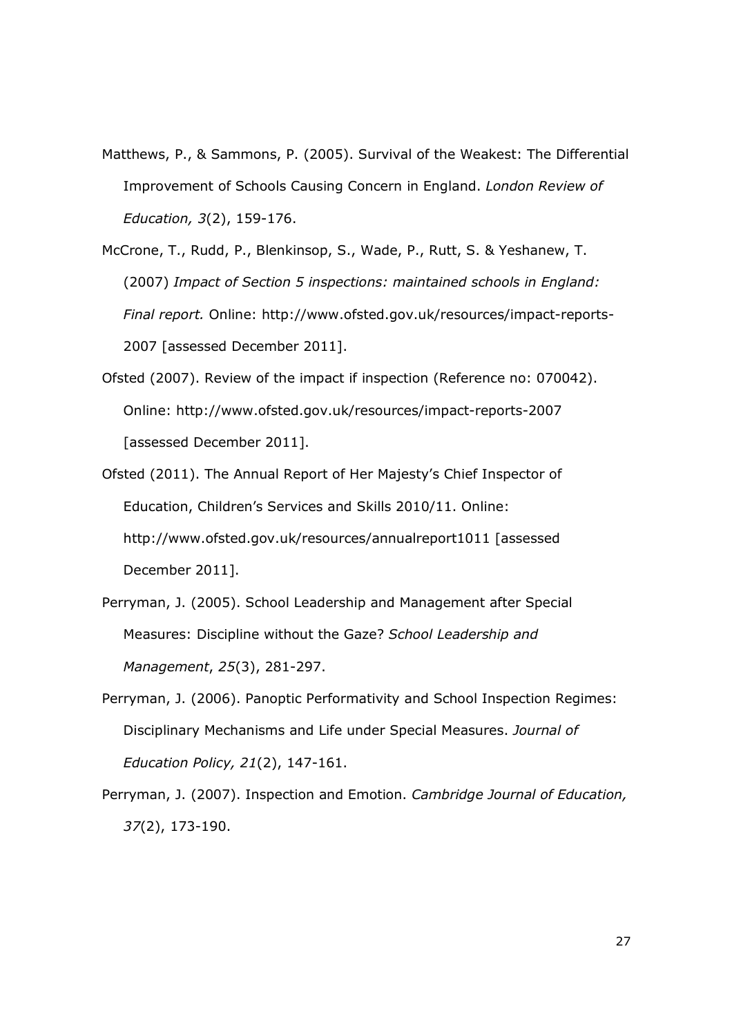- Matthews, P., & Sammons, P. (2005). Survival of the Weakest: The Differential Improvement of Schools Causing Concern in England. London Review of Education, 3(2), 159-176.
- McCrone, T., Rudd, P., Blenkinsop, S., Wade, P., Rutt, S. & Yeshanew, T. (2007) Impact of Section 5 inspections: maintained schools in England: Final report. Online: http://www.ofsted.gov.uk/resources/impact-reports-2007 [assessed December 2011].
- Ofsted (2007). Review of the impact if inspection (Reference no: 070042). Online: http://www.ofsted.gov.uk/resources/impact-reports-2007 [assessed December 2011].
- Ofsted (2011). The Annual Report of Her Majesty's Chief Inspector of Education, Children's Services and Skills 2010/11. Online: http://www.ofsted.gov.uk/resources/annualreport1011 [assessed December 2011].
- Perryman, J. (2005). School Leadership and Management after Special Measures: Discipline without the Gaze? School Leadership and Management, 25(3), 281-297.
- Perryman, J. (2006). Panoptic Performativity and School Inspection Regimes: Disciplinary Mechanisms and Life under Special Measures. Journal of Education Policy, 21(2), 147-161.
- Perryman, J. (2007). Inspection and Emotion. Cambridge Journal of Education, 37(2), 173-190.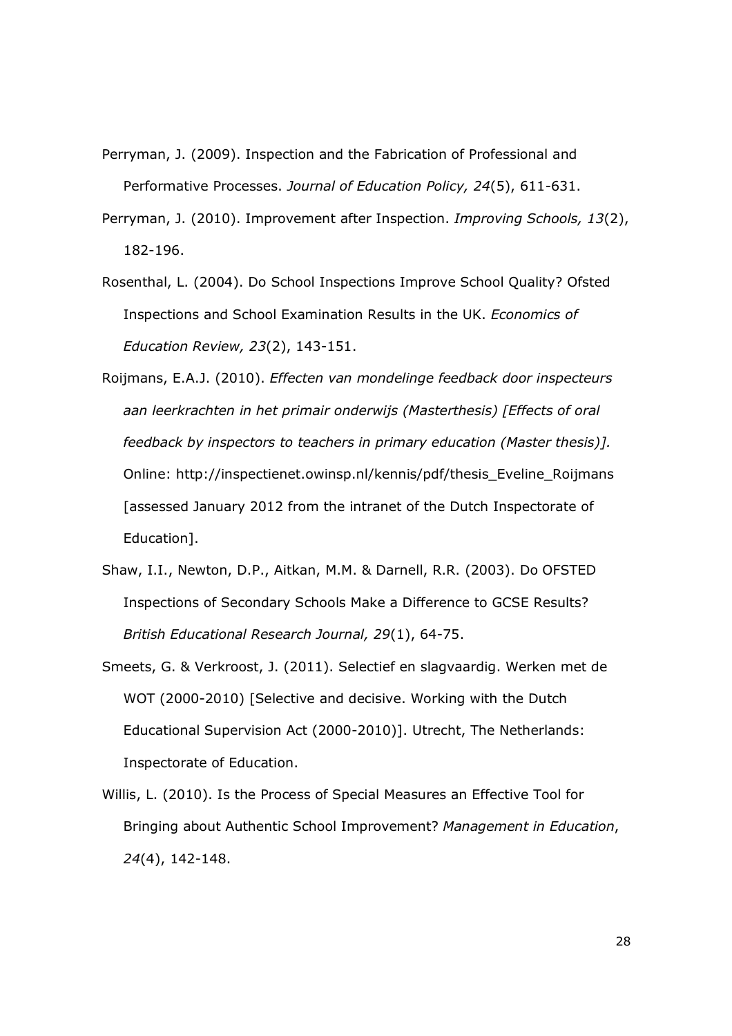- Perryman, J. (2009). Inspection and the Fabrication of Professional and Performative Processes. Journal of Education Policy, 24(5), 611-631.
- Perryman, J. (2010). Improvement after Inspection. Improving Schools, 13(2), 182-196.
- Rosenthal, L. (2004). Do School Inspections Improve School Quality? Ofsted Inspections and School Examination Results in the UK. Economics of Education Review, 23(2), 143-151.
- Roijmans, E.A.J. (2010). Effecten van mondelinge feedback door inspecteurs aan leerkrachten in het primair onderwijs (Masterthesis) [Effects of oral feedback by inspectors to teachers in primary education (Master thesis)]. Online: http://inspectienet.owinsp.nl/kennis/pdf/thesis\_Eveline\_Roijmans [assessed January 2012 from the intranet of the Dutch Inspectorate of Education].
- Shaw, I.I., Newton, D.P., Aitkan, M.M. & Darnell, R.R. (2003). Do OFSTED Inspections of Secondary Schools Make a Difference to GCSE Results? British Educational Research Journal, 29(1), 64-75.
- Smeets, G. & Verkroost, J. (2011). Selectief en slagvaardig. Werken met de WOT (2000-2010) [Selective and decisive. Working with the Dutch Educational Supervision Act (2000-2010)]. Utrecht, The Netherlands: Inspectorate of Education.
- Willis, L. (2010). Is the Process of Special Measures an Effective Tool for Bringing about Authentic School Improvement? Management in Education, 24(4), 142-148.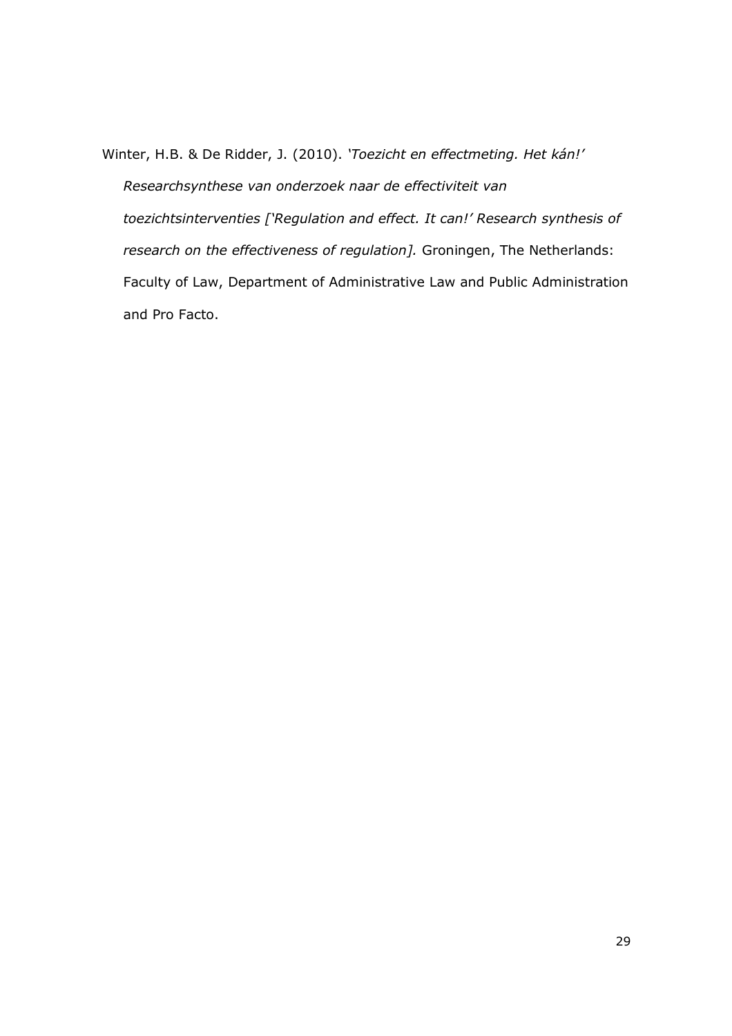Winter, H.B. & De Ridder, J. (2010). 'Toezicht en effectmeting. Het kán!' Researchsynthese van onderzoek naar de effectiviteit van toezichtsinterventies ['Regulation and effect. It can!' Research synthesis of research on the effectiveness of regulation]. Groningen, The Netherlands: Faculty of Law, Department of Administrative Law and Public Administration and Pro Facto.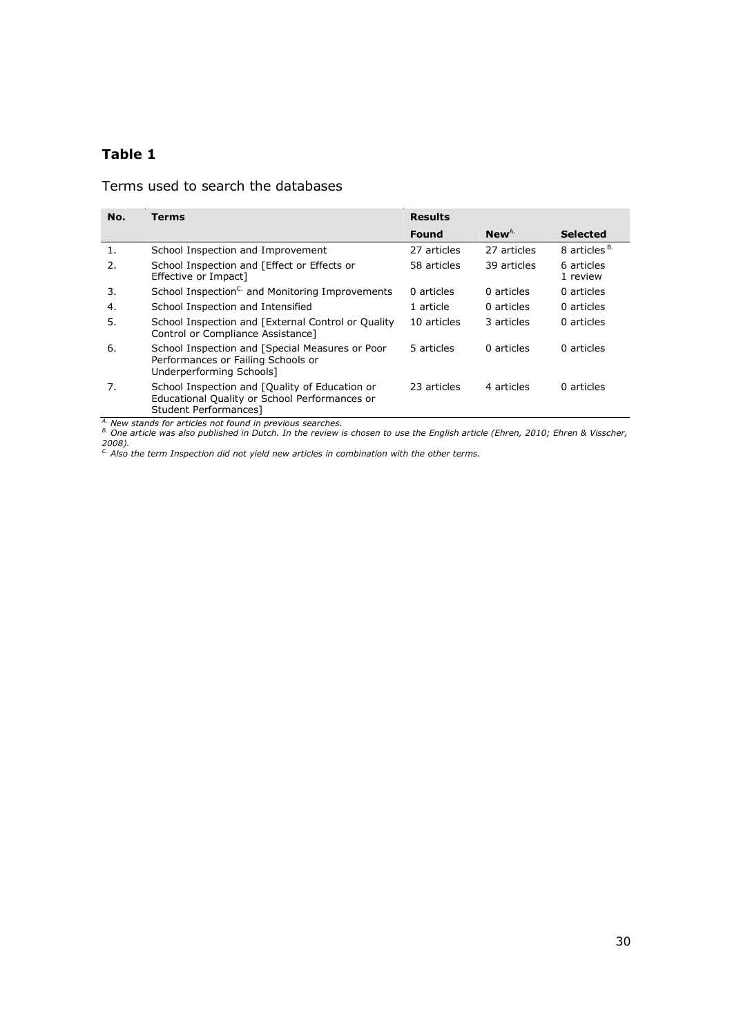# Table 1

# Terms used to search the databases

| No. | Terms                                                                                                                    |             | <b>Results</b>   |                          |  |
|-----|--------------------------------------------------------------------------------------------------------------------------|-------------|------------------|--------------------------|--|
|     |                                                                                                                          | Found       | New <sup>A</sup> | <b>Selected</b>          |  |
| 1.  | School Inspection and Improvement                                                                                        | 27 articles | 27 articles      | 8 articles <sup>B.</sup> |  |
| 2.  | School Inspection and [Effect or Effects or<br>Effective or Impact]                                                      | 58 articles | 39 articles      | 6 articles<br>1 review   |  |
| 3.  | School Inspection <sup>C.</sup> and Monitoring Improvements                                                              | 0 articles  | 0 articles       | 0 articles               |  |
| 4.  | School Inspection and Intensified                                                                                        | 1 article   | 0 articles       | 0 articles               |  |
| 5.  | School Inspection and [External Control or Quality<br>Control or Compliance Assistance]                                  | 10 articles | 3 articles       | 0 articles               |  |
| 6.  | School Inspection and [Special Measures or Poor<br>Performances or Failing Schools or<br>Underperforming Schools]        | 5 articles  | 0 articles       | 0 articles               |  |
| 7.  | School Inspection and [Quality of Education or<br>Educational Quality or School Performances or<br>Student Performances] | 23 articles | 4 articles       | 0 articles               |  |

<sup>A.</sup> New stands for articles not found in previous searches.

 $^{\rm B}$  One article was also published in Dutch. In the review is chosen to use the English article (Ehren, 2010; Ehren & Visscher, 2008).<br><sup>C.</sup> Also the term Inspection did not yield new articles in combination with the other terms.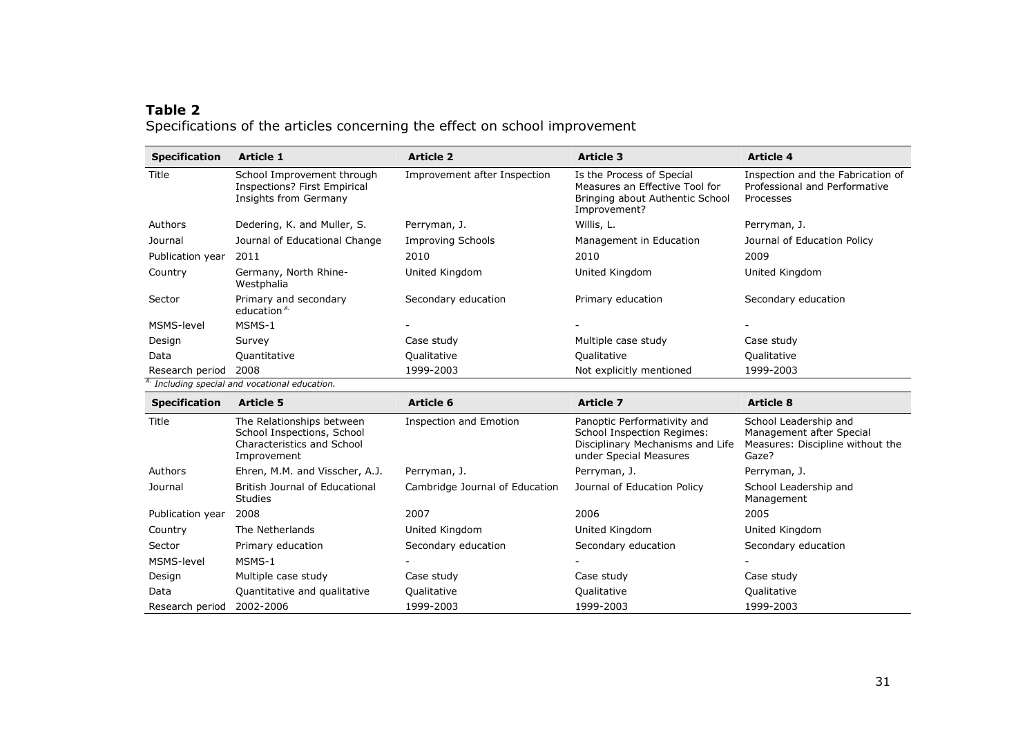# Table 2Specifications of the articles concerning the effect on school improvement

| <b>Specification</b>                                      | <b>Article 1</b>                                                                    | <b>Article 2</b>             | <b>Article 3</b>                                                                                               | <b>Article 4</b>                                                                |
|-----------------------------------------------------------|-------------------------------------------------------------------------------------|------------------------------|----------------------------------------------------------------------------------------------------------------|---------------------------------------------------------------------------------|
| Title                                                     | School Improvement through<br>Inspections? First Empirical<br>Insights from Germany | Improvement after Inspection | Is the Process of Special<br>Measures an Effective Tool for<br>Bringing about Authentic School<br>Improvement? | Inspection and the Fabrication of<br>Professional and Performative<br>Processes |
| Authors                                                   | Dedering, K. and Muller, S.                                                         | Perryman, J.                 | Willis, L.                                                                                                     | Perryman, J.                                                                    |
| Journal                                                   | Journal of Educational Change                                                       | <b>Improving Schools</b>     | Management in Education                                                                                        | Journal of Education Policy                                                     |
| Publication year                                          | 2011                                                                                | 2010                         | 2010                                                                                                           | 2009                                                                            |
| Country                                                   | Germany, North Rhine-<br>Westphalia                                                 | United Kingdom               | United Kingdom                                                                                                 | United Kingdom                                                                  |
| Sector                                                    | Primary and secondary<br>education <sup>A.</sup>                                    | Secondary education          | Primary education                                                                                              | Secondary education                                                             |
| MSMS-level                                                | MSMS-1                                                                              |                              |                                                                                                                |                                                                                 |
| Design                                                    | Survey                                                                              | Case study                   | Multiple case study                                                                                            | Case study                                                                      |
| Data                                                      | Quantitative                                                                        | Qualitative                  | Qualitative                                                                                                    | Qualitative                                                                     |
| Research period                                           | 2008                                                                                | 1999-2003                    | Not explicitly mentioned                                                                                       | 1999-2003                                                                       |
| <sup>A.</sup> Including special and vocational education. |                                                                                     |                              |                                                                                                                |                                                                                 |

| <b>Specification</b> | <b>Article 5</b>                                                                                     | Article 6                      | <b>Article 7</b>                                                                                                               | <b>Article 8</b>                                                                               |
|----------------------|------------------------------------------------------------------------------------------------------|--------------------------------|--------------------------------------------------------------------------------------------------------------------------------|------------------------------------------------------------------------------------------------|
| Title                | The Relationships between<br>School Inspections, School<br>Characteristics and School<br>Improvement | <b>Inspection and Emotion</b>  | Panoptic Performativity and<br><b>School Inspection Regimes:</b><br>Disciplinary Mechanisms and Life<br>under Special Measures | School Leadership and<br>Management after Special<br>Measures: Discipline without the<br>Gaze? |
| Authors              | Ehren, M.M. and Visscher, A.J.                                                                       | Perryman, J.                   | Perryman, J.                                                                                                                   | Perryman, J.                                                                                   |
| Journal              | British Journal of Educational<br><b>Studies</b>                                                     | Cambridge Journal of Education | Journal of Education Policy                                                                                                    | School Leadership and<br>Management                                                            |
| Publication year     | 2008                                                                                                 | 2007                           | 2006                                                                                                                           | 2005                                                                                           |
| Country              | The Netherlands                                                                                      | United Kingdom                 | United Kingdom                                                                                                                 | United Kingdom                                                                                 |
| Sector               | Primary education                                                                                    | Secondary education            | Secondary education                                                                                                            | Secondary education                                                                            |
| MSMS-level           | MSMS-1                                                                                               |                                |                                                                                                                                |                                                                                                |
| Design               | Multiple case study                                                                                  | Case study                     | Case study                                                                                                                     | Case study                                                                                     |
| Data                 | Quantitative and qualitative                                                                         | Qualitative                    | Qualitative                                                                                                                    | Qualitative                                                                                    |
| Research period      | 2002-2006                                                                                            | 1999-2003                      | 1999-2003                                                                                                                      | 1999-2003                                                                                      |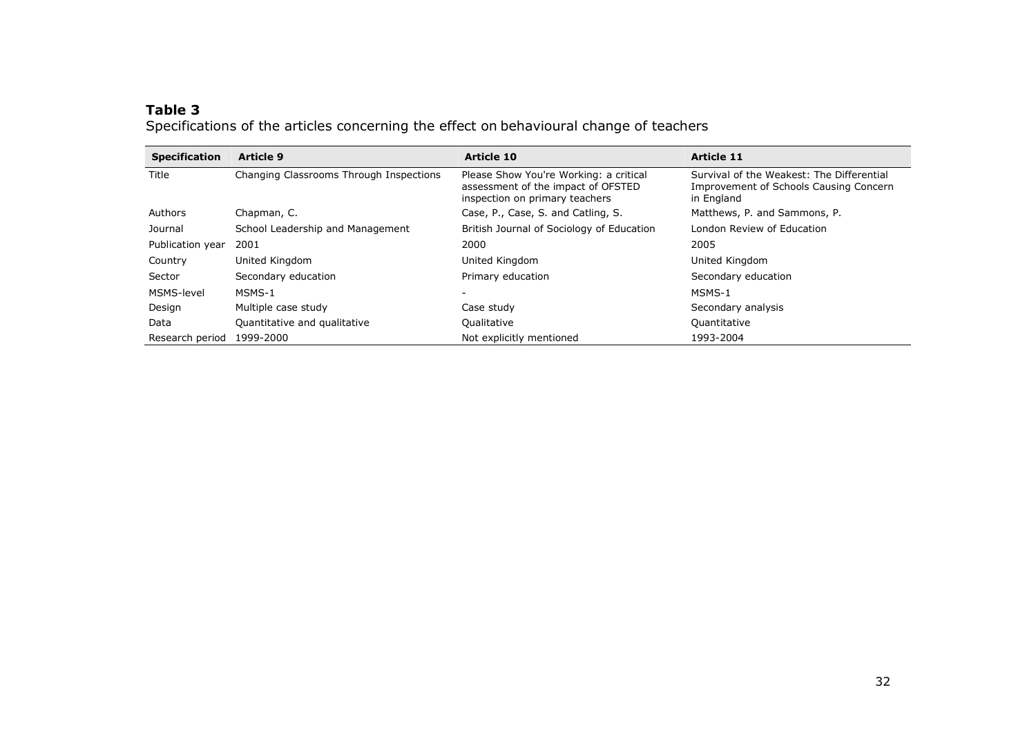# Table 3

Specifications of the articles concerning the effect on behavioural change of teachers

| <b>Specification</b> | <b>Article 9</b>                        | <b>Article 10</b>                                                                                              | <b>Article 11</b>                                                                                 |
|----------------------|-----------------------------------------|----------------------------------------------------------------------------------------------------------------|---------------------------------------------------------------------------------------------------|
| Title                | Changing Classrooms Through Inspections | Please Show You're Working: a critical<br>assessment of the impact of OFSTED<br>inspection on primary teachers | Survival of the Weakest: The Differential<br>Improvement of Schools Causing Concern<br>in England |
| Authors              | Chapman, C.                             | Case, P., Case, S. and Catling, S.                                                                             | Matthews, P. and Sammons, P.                                                                      |
| Journal              | School Leadership and Management        | British Journal of Sociology of Education                                                                      | London Review of Education                                                                        |
| Publication year     | 2001                                    | 2000                                                                                                           | 2005                                                                                              |
| Country              | United Kingdom                          | United Kingdom                                                                                                 | United Kingdom                                                                                    |
| Sector               | Secondary education                     | Primary education                                                                                              | Secondary education                                                                               |
| MSMS-level           | MSMS-1                                  |                                                                                                                | MSMS-1                                                                                            |
| Design               | Multiple case study                     | Case study                                                                                                     | Secondary analysis                                                                                |
| Data                 | Quantitative and qualitative            | Qualitative                                                                                                    | Quantitative                                                                                      |
| Research period      | 1999-2000                               | Not explicitly mentioned                                                                                       | 1993-2004                                                                                         |